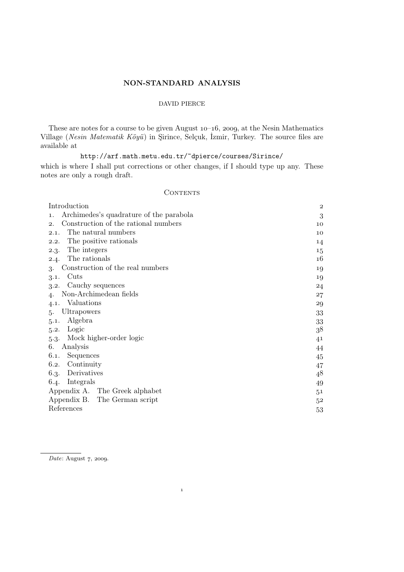# NON-STANDARD ANALYSIS

# DAVID PIERCE

These are notes for a course to be given August  $10-16$ , 2009, at the Nesin Mathematics Village (*Nesin Matematik Köyü*) in Şirince, Selçuk, İzmir, Turkey. The source files are available at

http://arf.math.metu.edu.tr/~dpierce/courses/Sirince/ which is where I shall put corrections or other changes, if I should type up any. These notes are only a rough draft.

## CONTENTS

| Introduction                                  |                |  |  |  |  |  |
|-----------------------------------------------|----------------|--|--|--|--|--|
| Archimedes's quadrature of the parabola<br>1. | 3              |  |  |  |  |  |
| Construction of the rational numbers<br>2.    | 10             |  |  |  |  |  |
| The natural numbers<br>2.1.                   | 10             |  |  |  |  |  |
| The positive rationals<br>2.2.                | 14             |  |  |  |  |  |
| The integers<br>2.3.                          | 15             |  |  |  |  |  |
| 2.4. The rationals                            | 16             |  |  |  |  |  |
| Construction of the real numbers<br>3.        | 19             |  |  |  |  |  |
| Cuts<br>3.1.                                  | 19             |  |  |  |  |  |
| Cauchy sequences<br>3.2.                      | 24             |  |  |  |  |  |
| Non-Archimedean fields                        | 27             |  |  |  |  |  |
| Valuations<br>4.1.                            | 29             |  |  |  |  |  |
| Ultrapowers<br>.5.                            | 33             |  |  |  |  |  |
| Algebra<br>5.1.                               | 33             |  |  |  |  |  |
| Logic<br>5.2.                                 | 38             |  |  |  |  |  |
| Mock higher-order logic<br>$5-3-$             | 41             |  |  |  |  |  |
| Analysis<br>6.                                | 44             |  |  |  |  |  |
| Sequences<br>6.1.                             | 45             |  |  |  |  |  |
| Continuity<br>6.2.                            | 47             |  |  |  |  |  |
| Derivatives<br>6.3.                           | 48             |  |  |  |  |  |
| Integrals<br>6.4.                             | 49             |  |  |  |  |  |
| Appendix A. The Greek alphabet                | 5 <sup>1</sup> |  |  |  |  |  |
| Appendix B. The German script                 | $5^2$          |  |  |  |  |  |
| References                                    | 53             |  |  |  |  |  |

 $\mathbf{1}$ 

*Date*: August 7, 2009.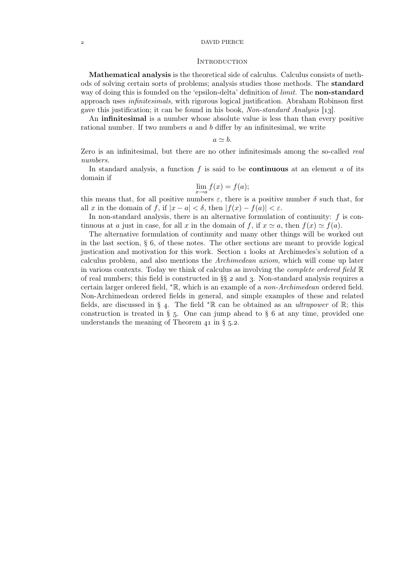### DAVID PIERCE

#### **INTRODUCTION**

Mathematical analysis is the theoretical side of calculus. Calculus consists of methods of solving certain sorts of problems; analysis studies those methods. The standard way of doing this is founded on the 'epsilon-delta' definition of *limit*. The **non-standard** approach uses *infinitesimals,* with rigorous logical justification. Abraham Robinson first gave this justification; it can be found in his book, *Non-standard Analysis* [13].

An infinitesimal is a number whose absolute value is less than than every positive rational number. If two numbers  $a$  and  $b$  differ by an infinitesimal, we write

 $a \simeq b$ .

Zero is an infinitesimal, but there are no other infinitesimals among the so-called *real numbers.*

In standard analysis, a function  $f$  is said to be **continuous** at an element  $a$  of its domain if

$$
\lim_{x \to a} f(x) = f(a);
$$

this means that, for all positive numbers  $\varepsilon$ , there is a positive number  $\delta$  such that, for all x in the domain of f, if  $|x - a| < \delta$ , then  $|f(x) - f(a)| < \varepsilon$ .

In non-standard analysis, there is an alternative formulation of continuity:  $f$  is continuous at a just in case, for all x in the domain of f, if  $x \simeq a$ , then  $f(x) \simeq f(a)$ .

The alternative formulation of continuity and many other things will be worked out in the last section,  $\S$  6, of these notes. The other sections are meant to provide logical justication and motivation for this work. Section looks at Archimedes's solution of a calculus problem, and also mentions the *Archimedean axiom,* which will come up later in various contexts. Today we think of calculus as involving the *complete ordered field* R of real numbers; this field is constructed in  $\S\S$  2 and 3. Non-standard analysis requires a certain larger ordered field, <sup>∗</sup>R, which is an example of a *non-Archimedean* ordered field. Non-Archimedean ordered fields in general, and simple examples of these and related fields, are discussed in § 4. The field <sup>\*</sup>R can be obtained as an *ultrapower* of R; this construction is treated in  $\S$  5. One can jump ahead to  $\S$  6 at any time, provided one understands the meaning of Theorem  $41$  in § 5.2.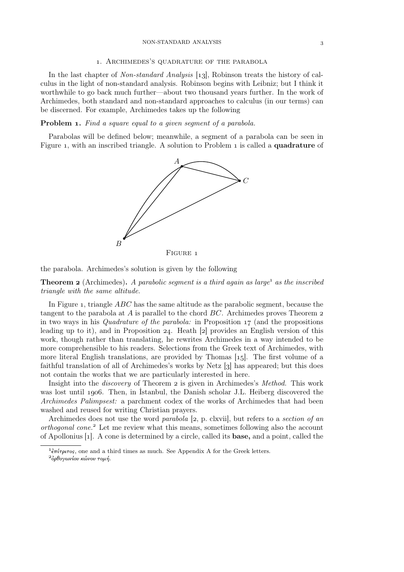#### NON-STANDARD ANALYSIS

#### . Archimedes's quadrature of the parabola

In the last chapter of *Non-standard Analysis* [13], Robinson treats the history of calculus in the light of non-standard analysis. Robinson begins with Leibniz; but I think it worthwhile to go back much further—about two thousand years further. In the work of Archimedes, both standard and non-standard approaches to calculus (in our terms) can be discerned. For example, Archimedes takes up the following

### Problem . *Find a square equal to a given segment of a parabola.*

Parabolas will be defined below; meanwhile, a segment of a parabola can be seen in Figure 1, with an inscribed triangle. A solution to Problem 1 is called a **quadrature** of



the parabola. Archimedes's solution is given by the following

**Theorem 2** (Archimedes). A parabolic segment is a third again as large<sup>1</sup> as the inscribed *triangle with the same altitude.*

In Figure 1, triangle  $ABC$  has the same altitude as the parabolic segment, because the tangent to the parabola at A is parallel to the chord  $BC$ . Archimedes proves Theorem 2 in two ways in his *Quadrature of the parabola:* in Proposition 17 (and the propositions leading up to it), and in Proposition 24. Heath  $[2]$  provides an English version of this work, though rather than translating, he rewrites Archimedes in a way intended to be more comprehensible to his readers. Selections from the Greek text of Archimedes, with more literal English translations, are provided by Thomas  $[15]$ . The first volume of a faithful translation of all of Archimedes's works by Netz  $\left[\right]$  has appeared; but this does not contain the works that we are particularly interested in here.

Insight into the *discovery* of Theorem 2 is given in Archimedes's *Method*. This work was lost until 1906. Then, in Istanbul, the Danish scholar J.L. Heiberg discovered the *Archimedes Palimpsest:* a parchment codex of the works of Archimedes that had been washed and reused for writing Christian prayers.

Archimedes does not use the word *parabola* [2, p. clxvii], but refers to a *section of an orthogonal cone.*<sup>2</sup> Let me review what this means, sometimes following also the account of Apollonius  $[1]$ . A cone is determined by a circle, called its **base**, and a point, called the

<sup>&</sup>lt;sup>1</sup> επίτριτος, one and a third times as much. See Appendix A for the Greek letters.

 $^{2}$ όρθογωνίου κώνου τομή.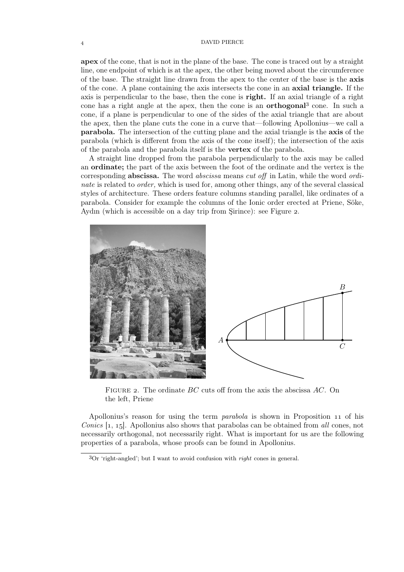### DAVID PIERCE

apex of the cone, that is not in the plane of the base. The cone is traced out by a straight line, one endpoint of which is at the apex, the other being moved about the circumference of the base. The straight line drawn from the apex to the center of the base is the axis of the cone. A plane containing the axis intersects the cone in an axial triangle. If the axis is perpendicular to the base, then the cone is right. If an axial triangle of a right cone has a right angle at the apex, then the cone is an **orthogonal**<sup>3</sup> cone. In such a cone, if a plane is perpendicular to one of the sides of the axial triangle that are about the apex, then the plane cuts the cone in a curve that—following Apollonius—we call a parabola. The intersection of the cutting plane and the axial triangle is the axis of the parabola (which is different from the axis of the cone itself); the intersection of the axis of the parabola and the parabola itself is the vertex of the parabola.

A straight line dropped from the parabola perpendicularly to the axis may be called an ordinate; the part of the axis between the foot of the ordinate and the vertex is the corresponding abscissa. The word *abscissa* means *cut off* in Latin, while the word *ordinate* is related to *order*, which is used for, among other things, any of the several classical styles of architecture. These orders feature columns standing parallel, like ordinates of a parabola. Consider for example the columns of the Ionic order erected at Priene, Söke, Aydın (which is accessible on a day trip from Sirince): see Figure 2.



FIGURE 2. The ordinate  $BC$  cuts off from the axis the abscissa  $AC$ . On the left, Priene

Apollonius's reason for using the term *parabola* is shown in Proposition 11 of his *Conics* [1, 15]. Apollonius also shows that parabolas can be obtained from *all* cones, not necessarily orthogonal, not necessarily right. What is important for us are the following properties of a parabola, whose proofs can be found in Apollonius.

Or 'right-angled'; but I want to avoid confusion with *right* cones in general.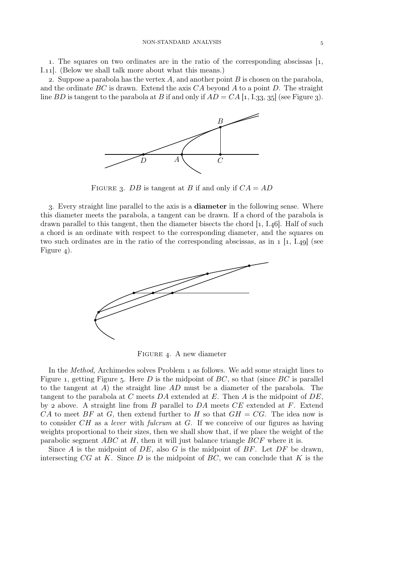1. The squares on two ordinates are in the ratio of the corresponding abscissas  $\left[1, \right]$ I.11. (Below we shall talk more about what this means.)

2. Suppose a parabola has the vertex  $A$ , and another point  $B$  is chosen on the parabola, and the ordinate  $BC$  is drawn. Extend the axis  $CA$  beyond A to a point D. The straight line BD is tangent to the parabola at B if and only if  $AD = CA$  [1, I.33, 35] (see Figure 3).



FIGURE 3. DB is tangent at B if and only if  $CA = AD$ 

. Every straight line parallel to the axis is a diameter in the following sense. Where this diameter meets the parabola, a tangent can be drawn. If a chord of the parabola is drawn parallel to this tangent, then the diameter bisects the chord  $[1, I.46]$ . Half of such a chord is an ordinate with respect to the corresponding diameter, and the squares on two such ordinates are in the ratio of the corresponding abscissas, as in  $1 \; [1, 1.49]$  (see Figure  $_4$ ).



FIGURE 4. A new diameter

In the *Method*, Archimedes solves Problem 1 as follows. We add some straight lines to Figure 1, getting Figure 5. Here D is the midpoint of  $BC$ , so that (since  $BC$  is parallel to the tangent at  $A$ ) the straight line  $AD$  must be a diameter of the parabola. The tangent to the parabola at  $C$  meets  $DA$  extended at  $E$ . Then  $A$  is the midpoint of  $DE$ , by 2 above. A straight line from B parallel to  $DA$  meets  $CE$  extended at F. Extend CA to meet BF at G, then extend further to H so that  $GH = CG$ . The idea now is to consider CH as a *lever* with *fulcrum* at G. If we conceive of our figures as having weights proportional to their sizes, then we shall show that, if we place the weight of the parabolic segment  $ABC$  at H, then it will just balance triangle  $BCF$  where it is.

Since A is the midpoint of  $DE$ , also G is the midpoint of  $BF$ . Let  $DF$  be drawn, intersecting  $CG$  at K. Since D is the midpoint of  $BC$ , we can conclude that K is the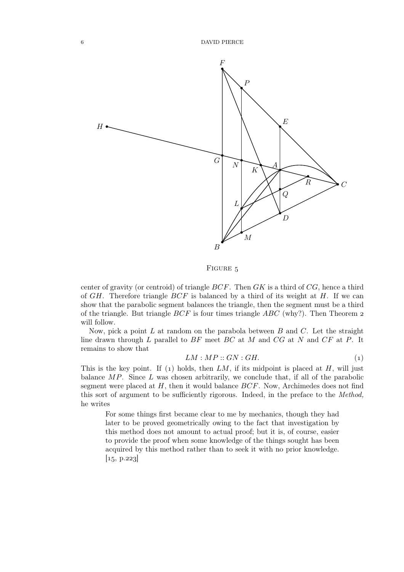

FIGURE 5

center of gravity (or centroid) of triangle  $BCF$ . Then  $GK$  is a third of  $CG$ , hence a third of  $GH$ . Therefore triangle  $BCF$  is balanced by a third of its weight at  $H$ . If we can show that the parabolic segment balances the triangle, then the segment must be a third of the triangle. But triangle  $BCF$  is four times triangle  $ABC$  (why?). Then Theorem 2 will follow.

Now, pick a point L at random on the parabola between  $B$  and  $C$ . Let the straight line drawn through  $L$  parallel to  $BF$  meet  $BC$  at  $M$  and  $CG$  at  $N$  and  $CF$  at  $P$ . It remains to show that

$$
LM : MP :: GN : GH.
$$
 (1)

This is the key point. If (1) holds, then  $LM$ , if its midpoint is placed at  $H$ , will just balance  $MP$ . Since L was chosen arbitrarily, we conclude that, if all of the parabolic segment were placed at  $H$ , then it would balance  $BCF$ . Now, Archimedes does not find this sort of argument to be sufficiently rigorous. Indeed, in the preface to the *Method,* he writes

For some things first became clear to me by mechanics, though they had later to be proved geometrically owing to the fact that investigation by this method does not amount to actual proof; but it is, of course, easier to provide the proof when some knowledge of the things sought has been acquired by this method rather than to seek it with no prior knowledge.  $[15, p.223]$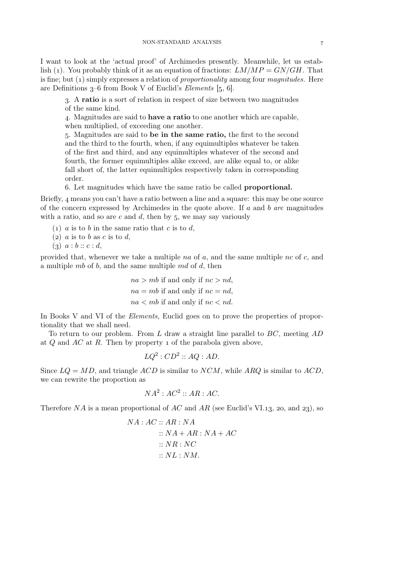I want to look at the 'actual proof' of Archimedes presently. Meanwhile, let us establish (1). You probably think of it as an equation of fractions:  $LM/MP = GN/GH$ . That is fine; but (1) simply expresses a relation of *proportionality* among four *magnitudes*. Here are Definitions  $3-6$  from Book V of Euclid's *Elements*  $[5, 6]$ .

. A ratio is a sort of relation in respect of size between two magnitudes of the same kind.

. Magnitudes are said to have a ratio to one another which are capable, when multiplied, of exceeding one another.

. Magnitudes are said to be in the same ratio, the first to the second and the third to the fourth, when, if any equimultiples whatever be taken of the first and third, and any equimultiples whatever of the second and fourth, the former equimultiples alike exceed, are alike equal to, or alike fall short of, the latter equimultiples respectively taken in corresponding order.

. Let magnitudes which have the same ratio be called proportional.

Briefly,  $\alpha$  means you can't have a ratio between a line and a square: this may be one source of the concern expressed by Archimedes in the quote above. If a and b *are* magnitudes with a ratio, and so are c and  $d$ , then by 5, we may say variously

(1) a is to b in the same ratio that c is to d,

- (2)  $a$  is to  $b$  as  $c$  is to  $d$ ,
- $(a) \ a : b :: c : d,$

provided that, whenever we take a multiple na of  $a$ , and the same multiple nc of  $c$ , and a multiple  $mb$  of b, and the same multiple  $md$  of d, then

> $na > mb$  if and only if  $nc > nd$ ,  $na = mb$  if and only if  $nc = nd$ ,  $na < mb$  if and only if  $nc < nd$ .

In Books V and VI of the *Elements,* Euclid goes on to prove the properties of proportionality that we shall need.

To return to our problem. From  $L$  draw a straight line parallel to  $BC$ , meeting  $AD$ at  $Q$  and  $AC$  at  $R$ . Then by property 1 of the parabola given above,

$$
LQ^2:CD^2::AQ:AD.
$$

Since  $LQ = MD$ , and triangle  $ACD$  is similar to  $NCM$ , while ARQ is similar to  $ACD$ , we can rewrite the proportion as

$$
NA^2: AC^2 :: AR : AC.
$$

Therefore NA is a mean proportional of AC and AR (see Euclid's VI.13, 20, and 23), so

$$
NA: AC :: AR : NA
$$
  

$$
:: NA + AR : NA + AC
$$
  

$$
:: NR : NC
$$
  

$$
:: NL : NM.
$$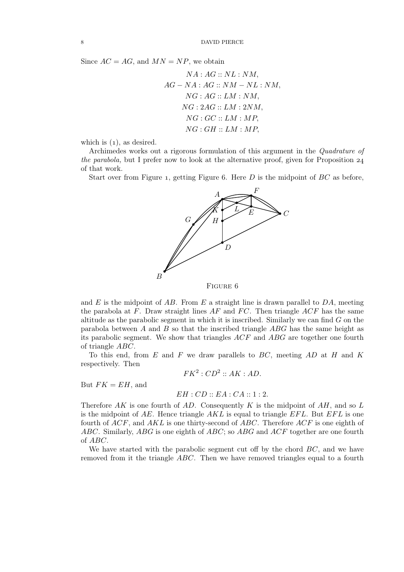Since  $AC = AG$ , and  $MN = NP$ , we obtain

$$
NA: AG:: NL: NM,
$$
  
AG-NA: AG:: NM-NL: NM,  
NG: AG:: LM: NM,  
NG: 2AG:: LM: 2NM,  
NG: GC:: LM: MP,  
NG: GH:: LM: MP,

which is  $(1)$ , as desired.

Archimedes works out a rigorous formulation of this argument in the *Quadrature of the parabola,* but I prefer now to look at the alternative proof, given for Proposition 24 of that work.

Start over from Figure 1, getting Figure 6. Here  $D$  is the midpoint of  $BC$  as before,



and E is the midpoint of AB. From E a straight line is drawn parallel to  $DA$ , meeting the parabola at  $F$ . Draw straight lines  $AF$  and  $FC$ . Then triangle  $ACF$  has the same altitude as the parabolic segment in which it is inscribed. Similarly we can find  $G$  on the parabola between A and B so that the inscribed triangle  $ABG$  has the same height as its parabolic segment. We show that triangles ACF and ABG are together one fourth of triangle ABC.

To this end, from  $E$  and  $F$  we draw parallels to  $BC$ , meeting  $AD$  at  $H$  and  $K$ respectively. Then

$$
FK^2:CD^2::AK:AD.
$$

But  $FK = EH$ , and

### $EH : CD :: EA : CA :: 1 : 2.$

Therefore AK is one fourth of AD. Consequently K is the midpoint of AH, and so L is the midpoint of  $AE$ . Hence triangle  $AKL$  is equal to triangle  $EFL$ . But  $EFL$  is one fourth of  $ACF$ , and  $AKL$  is one thirty-second of  $ABC$ . Therefore  $ACF$  is one eighth of ABC. Similarly, ABG is one eighth of ABC; so ABG and ACF together are one fourth of ABC.

We have started with the parabolic segment cut off by the chord  $BC$ , and we have removed from it the triangle ABC. Then we have removed triangles equal to a fourth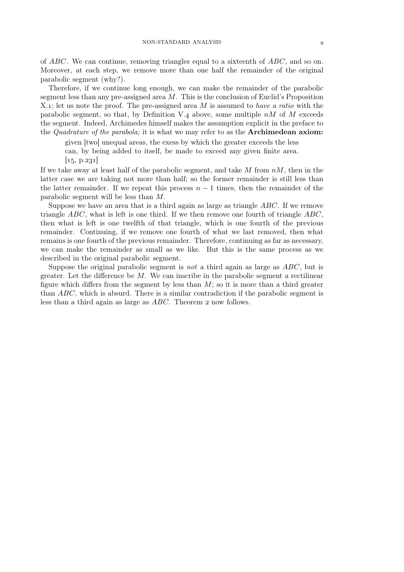of ABC. We can continue, removing triangles equal to a sixteenth of ABC, and so on. Moreover, at each step, we remove more than one half the remainder of the original parabolic segment (why?).

Therefore, if we continue long enough, we can make the remainder of the parabolic segment less than any pre-assigned area  $M$ . This is the conclusion of Euclid's Proposition X.; let us note the proof. The pre-assigned area M is assumed to *have a ratio* with the parabolic segment, so that, by Definition V.4 above, some multiple  $nM$  of M exceeds the segment. Indeed, Archimedes himself makes the assumption explicit in the preface to the *Quadrature of the parabola;* it is what we may refer to as the Archimedean axiom:

given [two] unequal areas, the exess by which the greater exceeds the less can, by being added to itself, be made to exceed any given finite area.

 $\vert 15, p.231 \vert$ 

If we take away at least half of the parabolic segment, and take  $M$  from  $nM$ , then in the latter case we are taking not more than half; so the former remainder is still less than the latter remainder. If we repeat this process  $n-1$  times, then the remainder of the parabolic segment will be less than M.

Suppose we have an area that is a third again as large as triangle ABC. If we remove triangle  $ABC$ , what is left is one third. If we then remove one fourth of triangle  $ABC$ , then what is left is one twelfth of that triangle, which is one fourth of the previous remainder. Continuing, if we remove one fourth of what we last removed, then what remains is one fourth of the previous remainder. Therefore, continuing as far as necessary, we can make the remainder as small as we like. But this is the same process as we described in the original parabolic segment.

Suppose the original parabolic segment is *not* a third again as large as ABC, but is greater. Let the difference be  $M$ . We can inscribe in the parabolic segment a rectilinear figure which differs from the segment by less than  $M$ ; so it is more than a third greater than ABC, which is absurd. There is a similar contradiction if the parabolic segment is less than a third again as large as  $ABC$ . Theorem 2 now follows.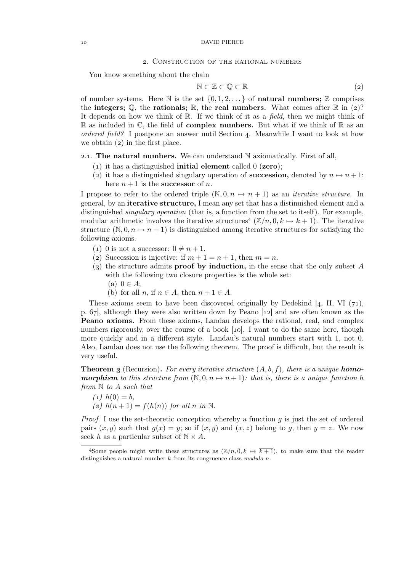### . Construction of the rational numbers

You know something about the chain

$$
N \subset \mathbb{Z} \subset \mathbb{Q} \subset \mathbb{R} \tag{2}
$$

of number systems. Here  $\mathbb N$  is the set  $\{0, 1, 2, \ldots\}$  of **natural numbers;**  $\mathbb Z$  comprises the integers;  $\mathbb{Q}$ , the rationals;  $\mathbb{R}$ , the real numbers. What comes after  $\mathbb{R}$  in (2)? It depends on how we think of R. If we think of it as a *field,* then we might think of  $\mathbb R$  as included in  $\mathbb C$ , the field of **complex numbers.** But what if we think of  $\mathbb R$  as an *ordered field?* I postpone an answer until Section 4. Meanwhile I want to look at how we obtain  $(2)$  in the first place.

### 2.1. The natural numbers. We can understand  $N$  axiomatically. First of all,

- (1) it has a distinguished **initial element** called  $0$  (**zero**);
- (2) it has a distinguished singulary operation of **succession**, denoted by  $n \mapsto n + 1$ : here  $n + 1$  is the **successor** of *n*.

I propose to refer to the ordered triple  $(\mathbb{N}, 0, n \mapsto n + 1)$  as an *iterative structure*. In general, by an iterative structure, I mean any set that has a distinuished element and a distinguished *singulary operation* (that is, a function from the set to itself). For example, modular arithmetic involves the iterative structures<sup>4</sup>  $(\mathbb{Z}/n, 0, k \mapsto k+1)$ . The iterative structure  $(\mathbb{N}, 0, n \mapsto n + 1)$  is distinguished among iterative structures for satisfying the following axioms.

- (1) 0 is not a successor:  $0 \neq n + 1$ .
- (2) Succession is injective: if  $m + 1 = n + 1$ , then  $m = n$ .
- (3) the structure admits **proof by induction**, in the sense that the only subset A with the following two closure properties is the whole set:
	- $(a)$   $0 \in A$ ;
	- (b) for all n, if  $n \in A$ , then  $n + 1 \in A$ .

These axioms seem to have been discovered originally by Dedekind  $[4, II, VI (71),$ p.  $67$ , although they were also written down by Peano  $[12]$  and are often known as the Peano axioms. From these axioms, Landau develops the rational, real, and complex numbers rigorously, over the course of a book [10]. I want to do the same here, though more quickly and in a different style. Landau's natural numbers start with 1, not 0. Also, Landau does not use the following theorem. The proof is difficult, but the result is very useful.

**Theorem 3** (Recursion). For every iterative structure  $(A, b, f)$ , there is a unique **homomorphism** to this structure from  $(\mathbb{N}, 0, n \mapsto n+1)$ : that is, there is a unique function h *from* N *to* A *such that*

 $(1)$   $h(0) = b$ , *(2)*  $h(n+1) = f(h(n))$  *for all n in* N.

*Proof.* I use the set-theoretic conception whereby a function g is just the set of ordered pairs  $(x, y)$  such that  $g(x) = y$ ; so if  $(x, y)$  and  $(x, z)$  belong to g, then  $y = z$ . We now seek h as a particular subset of  $N \times A$ .

<sup>&</sup>lt;sup>4</sup>Some people might write these structures as  $(\mathbb{Z}/n, \overline{0}, \overline{k} \mapsto \overline{k+1})$ , to make sure that the reader distinguishes a natural number k from its congruence class *modulo* n.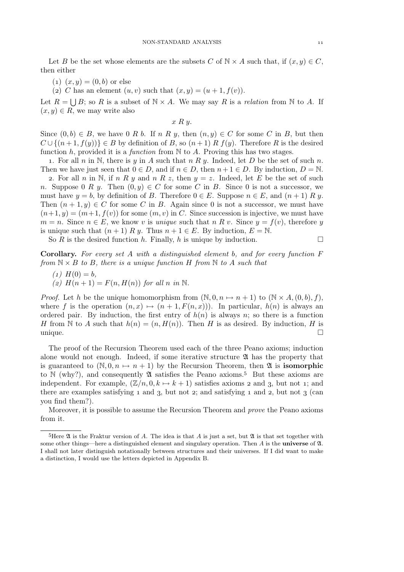Let B be the set whose elements are the subsets C of  $\mathbb{N} \times A$  such that, if  $(x, y) \in C$ , then either

 $(1)$   $(x, y) = (0, b)$  or else

(2) C has an element  $(u, v)$  such that  $(x, y) = (u + 1, f(v)).$ 

Let  $R = \bigcup B$ ; so R is a subset of  $\mathbb{N} \times A$ . We may say R is a *relation* from  $\mathbb{N}$  to A. If  $(x, y) \in R$ , we may write also

 $x R y$ .

Since  $(0, b) \in B$ , we have 0 R b. If n R y, then  $(n, y) \in C$  for some C in B, but then  $C \cup \{(n+1, f(y))\} \in B$  by definition of B, so  $(n+1)$  R  $f(y)$ . Therefore R is the desired function h, provided it is a *function* from N to A. Proving this has two stages.

1. For all n in N, there is y in A such that n R y. Indeed, let D be the set of such n. Then we have just seen that  $0 \in D$ , and if  $n \in D$ , then  $n+1 \in D$ . By induction,  $D = \mathbb{N}$ .

2. For all n in N, if n R y and n R z, then  $y = z$ . Indeed, let E be the set of such n. Suppose 0 R y. Then  $(0, y) \in C$  for some C in B. Since 0 is not a successor, we must have  $y = b$ , by definition of B. Therefore  $0 \in E$ . Suppose  $n \in E$ , and  $(n + 1) R y$ . Then  $(n+1, y) \in C$  for some C in B. Again since 0 is not a successor, we must have  $(n+1, y) = (m+1, f(v))$  for some  $(m, v)$  in C. Since succession is injective, we must have  $m = n$ . Since  $n \in E$ , we know v is *unique* such that n R v. Since  $y = f(v)$ , therefore y is unique such that  $(n+1) R y$ . Thus  $n+1 \in E$ . By induction,  $E = N$ .

So R is the desired function h. Finally, h is unique by induction.  $\Box$ 

Corollary. *For every set* A *with a distinguished element* b*, and for every function* F *from*  $N \times B$  *to* B, there is a unique function H from N to A such that

 $(1)$   $H(0) = b$ . *(a)*  $H(n+1) = F(n, H(n))$  *for all n in* N.

*Proof.* Let h be the unique homomorphism from  $(N, 0, n \mapsto n + 1)$  to  $(N \times A, (0, b), f)$ , where f is the operation  $(n, x) \mapsto (n + 1, F(n, x))$ . In particular,  $h(n)$  is always an ordered pair. By induction, the first entry of  $h(n)$  is always n; so there is a function H from N to A such that  $h(n) = (n, H(n))$ . Then H is as desired. By induction, H is  $\Box$ 

The proof of the Recursion Theorem used each of the three Peano axioms; induction alone would not enough. Indeed, if some iterative structure  $\mathfrak A$  has the property that is guaranteed to  $(N, 0, n \mapsto n + 1)$  by the Recursion Theorem, then  $\mathfrak{A}$  is **isomorphic** to  $\mathbb N$  (why?), and consequently  $\mathfrak A$  satisfies the Peano axioms.<sup>5</sup> But these axioms are independent. For example,  $(\mathbb{Z}/n, 0, k \mapsto k + 1)$  satisfies axioms 2 and 3, but not 1; and there are examples satisfying  $\bar{a}$  and  $\bar{a}$ , but not  $\bar{c}$ ; and satisfying  $\bar{a}$  and  $\bar{c}$ , but not  $\bar{c}$  (can you find them?).

Moreover, it is possible to assume the Recursion Theorem and *prove* the Peano axioms from it.

 $\frac{5 \text{Here } \mathfrak{A}$  is the Fraktur version of A. The idea is that A is just a set, but  $\mathfrak{A}$  is that set together with some other things—here a distinguished element and singulary operation. Then  $A$  is the **universe** of  $\mathfrak{A}$ . I shall not later distinguish notationally between structures and their universes. If I did want to make a distinction, I would use the letters depicted in Appendix B.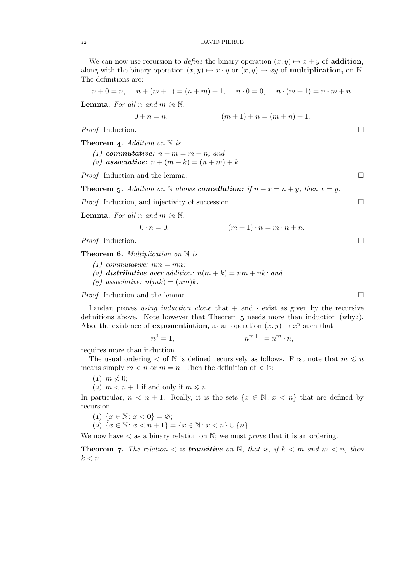We can now use recursion to *define* the binary operation  $(x, y) \mapsto x + y$  of **addition**, along with the binary operation  $(x, y) \mapsto x \cdot y$  or  $(x, y) \mapsto xy$  of **multiplication**, on N. The definitions are:

$$
n+0 = n
$$
,  $n + (m + 1) = (n + m) + 1$ ,  $n \cdot 0 = 0$ ,  $n \cdot (m + 1) = n \cdot m + n$ .

Lemma. *For all* n *and* m *in* N*,*

$$
0 + n = n, \qquad (m+1) + n = (m+n) + 1.
$$

*Proof.* Induction. □

Theorem 4. Addition on  $\mathbb N$  is

*(1)* commutative:  $n + m = m + n$ ; and

*(2)* associative:  $n + (m + k) = (n + m) + k$ .

*Proof.* Induction and the lemma. □

**Theorem 5.** Addition on N allows **cancellation:** if  $n + x = n + y$ , then  $x = y$ .

*Proof.* Induction, and injectivity of succession. □

**Lemma.** For all n and m in  $\mathbb{N}$ ,

$$
0 \cdot n = 0, \qquad (m+1) \cdot n = m \cdot n + n.
$$

*Proof.* Induction. □

Theorem 6. *Multiplication on* N *is* 

- $(1)$  *commutative:*  $nm = mn$ ;
- (*z*) distributive over addition:  $n(m + k) = nm + nk$ ; and
- $(g)$  associative:  $n(mk) = (nm)k$ .

*Proof.* Induction and the lemma. □

Landau proves *using induction alone* that  $+$  and  $\cdot$  exist as given by the recursive definitions above. Note however that Theorem  $\overline{5}$  needs more than induction (why?). Also, the existence of **exponentiation**, as an operation  $(x, y) \mapsto x^y$  such that

$$
n^0 = 1, \qquad \qquad n^{m+1} = n^m \cdot n,
$$

requires more than induction.

The usual ordering  $\lt$  of N is defined recursively as follows. First note that  $m \leq n$ means simply  $m < n$  or  $m = n$ . Then the definition of  $\lt$  is:

 $(1)$   $m \nless 0$ ;

(2)  $m < n + 1$  if and only if  $m \leq n$ .

In particular,  $n < n + 1$ . Really, it is the sets  $\{x \in \mathbb{N} : x < n\}$  that are defined by recursion:

(1)  $\{x \in \mathbb{N} : x < 0\} = \emptyset;$ 

(2)  $\{x \in \mathbb{N} : x < n+1\} = \{x \in \mathbb{N} : x < n\} \cup \{n\}.$ 

We now have  $\lt$  as a binary relation on N; we must *prove* that it is an ordering.

**Theorem 7.** The relation  $\lt$  is **transitive** on  $\mathbb{N}$ , that is, if  $k \lt m$  and  $m \lt n$ , then  $k < n$ .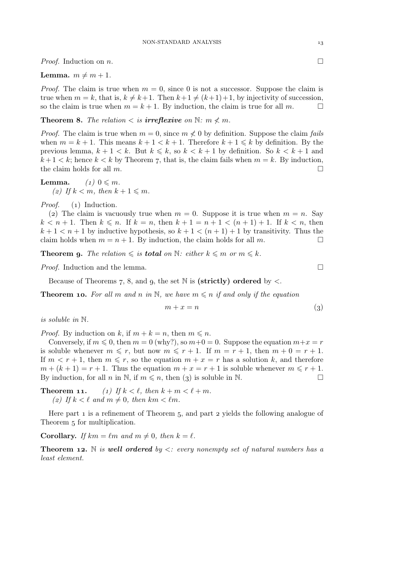*Proof.* Induction on *n*.

### **Lemma.**  $m \neq m + 1$ .

*Proof.* The claim is true when  $m = 0$ , since 0 is not a successor. Suppose the claim is true when  $m = k$ , that is,  $k \neq k+1$ . Then  $k+1 \neq (k+1)+1$ , by injectivity of succession, so the claim is true when  $m = k+1$ . By induction, the claim is true for all m. so the claim is true when  $m = k + 1$ . By induction, the claim is true for all m.

**Theorem 8.** The relation  $\lt$  is **irreflexive** on  $\mathbb{N}$ :  $m \nless m$ .

*Proof.* The claim is true when  $m = 0$ , since  $m \nless 0$  by definition. Suppose the claim *fails* when  $m = k + 1$ . This means  $k + 1 < k + 1$ . Therefore  $k + 1 \leq k$  by definition. By the previous lemma,  $k + 1 < k$ . But  $k \leq k$ , so  $k < k + 1$  by definition. So  $k < k + 1$  and  $k+1 < k$ ; hence  $k < k$  by Theorem 7, that is, the claim fails when  $m = k$ . By induction, the claim holds for all  $m$ .

**Lemma.**  $(1)$   $0 \leq m$ . (*z*) If  $k < m$ , then  $k + 1 \leq m$ .

*Proof.* (1) Induction.

(2) The claim is vacuously true when  $m = 0$ . Suppose it is true when  $m = n$ . Say  $k < n + 1$ . Then  $k \le n$ . If  $k = n$ , then  $k + 1 = n + 1 < (n + 1) + 1$ . If  $k < n$ , then  $k+1 < n+1$  by inductive hypothesis, so  $k+1 < (n+1)+1$  by transitivity. Thus the claim holds when  $m = n + 1$ . By induction, the claim holds for all m.

**Theorem 9.** The relation  $\leqslant$  is **total** on  $\mathbb{N}$ : either  $k \leqslant m$  or  $m \leqslant k$ .

*Proof.* Induction and the lemma. □

Because of Theorems 7, 8, and 9, the set  $\mathbb N$  is (strictly) ordered by  $\lt$ .

**Theorem 10.** For all m and n in N, we have  $m \leq n$  if and only if the equation

$$
m + x = n \tag{3}
$$

*is soluble in* N*.*

*Proof.* By induction on k, if  $m + k = n$ , then  $m \leq n$ .

Conversely, if  $m \le 0$ , then  $m = 0$  (why?), so  $m+0 = 0$ . Suppose the equation  $m+x = r$ is soluble whenever  $m \leq r$ , but now  $m \leq r + 1$ . If  $m = r + 1$ , then  $m + 0 = r + 1$ . If  $m < r + 1$ , then  $m \leq r$ , so the equation  $m + x = r$  has a solution k, and therefore  $m + (k + 1) = r + 1$ . Thus the equation  $m + x = r + 1$  is soluble whenever  $m \leq r + 1$ . By induction, for all n in N, if  $m \le n$ , then (3) is soluble in N.

**Theorem 11.** (1) If  $k < \ell$ , then  $k + m < \ell + m$ . (2) If  $k < \ell$  and  $m \neq 0$ , then  $km < \ell m$ .

Here part  $\bar{1}$  is a refinement of Theorem 5, and part  $\bar{2}$  yields the following analogue of Theorem 5 for multiplication.

**Corollary.** *If*  $km = \ell m$  *and*  $m \neq 0$ *, then*  $k = \ell$ *.* 

**Theorem 12.** N *is well ordered by*  $\lt$ *: every nonempty set of natural numbers has a least element.*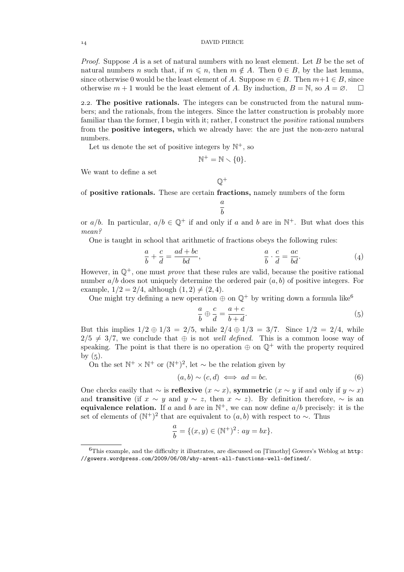*Proof.* Suppose A is a set of natural numbers with no least element. Let B be the set of natural numbers n such that, if  $m \leq n$ , then  $m \notin A$ . Then  $0 \in B$ , by the last lemma, since otherwise 0 would be the least element of A. Suppose  $m \in B$ . Then  $m+1 \in B$ , since otherwise  $m+1$  would be the least element of A. By induction  $B = N$  so  $A = \emptyset$ otherwise  $m + 1$  would be the least element of A. By induction,  $B = N$ , so  $A = \emptyset$ .

2.2. The positive rationals. The integers can be constructed from the natural numbers; and the rationals, from the integers. Since the latter construction is probably more familiar than the former, I begin with it; rather, I construct the *positive* rational numbers from the positive integers, which we already have: the are just the non-zero natural numbers.

Let us denote the set of positive integers by  $\mathbb{N}^+$ , so

$$
\mathbb{N}^+ = \mathbb{N} \setminus \{0\}.
$$

 $\mathbb{Q}^+$ 

We want to define a set

of positive rationals. These are certain fractions, namely numbers of the form

$$
\frac{a}{b}
$$

or  $a/b$ . In particular,  $a/b \in \mathbb{Q}^+$  if and only if a and b are in  $\mathbb{N}^+$ . But what does this *mean?*

One is taught in school that arithmetic of fractions obeys the following rules:

$$
\frac{a}{b} + \frac{c}{d} = \frac{ad + bc}{bd}, \qquad \frac{a}{b} \cdot \frac{c}{d} = \frac{ac}{bd}.
$$
 (4)

However, in Q+, one must *prove* that these rules are valid, because the positive rational number  $a/b$  does not uniquely determine the ordered pair  $(a, b)$  of positive integers. For example,  $1/2 = 2/4$ , although  $(1, 2) \neq (2, 4)$ .

One might try defining a new operation  $\oplus$  on  $\mathbb{Q}^+$  by writing down a formula like<sup>6</sup>

$$
\frac{a}{b} \oplus \frac{c}{d} = \frac{a+c}{b+d}.\tag{5}
$$

But this implies  $1/2 \oplus 1/3 = 2/5$ , while  $2/4 \oplus 1/3 = 3/7$ . Since  $1/2 = 2/4$ , while  $2/5 \neq 3/7$ , we conclude that  $\oplus$  is not *well defined*. This is a common loose way of speaking. The point is that there is no operation  $\oplus$  on  $\mathbb{Q}^+$  with the property required by  $(5)$ .

On the set  $\mathbb{N}^+ \times \mathbb{N}^+$  or  $(\mathbb{N}^+)^2$ , let  $\sim$  be the relation given by

$$
(a, b) \sim (c, d) \iff ad = bc. \tag{6}
$$

One checks easily that  $\sim$  is **reflexive**  $(x \sim x)$ , **symmetric**  $(x \sim y)$  if and only if  $y \sim x$ ) and **transitive** (if  $x \sim y$  and  $y \sim z$ , then  $x \sim z$ ). By definition therefore,  $\sim$  is an equivalence relation. If a and b are in  $\mathbb{N}^+$ , we can now define  $a/b$  precisely: it is the set of elements of  $(N^+)^2$  that are equivalent to  $(a, b)$  with respect to  $\sim$ . Thus

$$
\frac{a}{b} = \{(x, y) \in (\mathbb{N}^+)^2 : ay = bx\}.
$$

 ${}^{6}$ This example, and the difficulty it illustrates, are discussed on [Timothy] Gowers's Weblog at http: //gowers.wordpress.com/2009/06/08/why-arent-all-functions-well-defined/.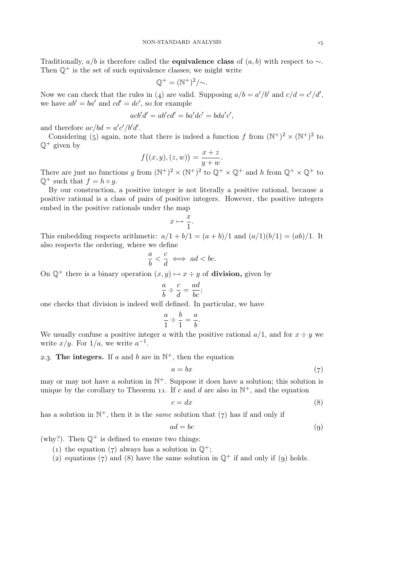Traditionally,  $a/b$  is therefore called the **equivalence class** of  $(a, b)$  with respect to  $\sim$ . Then  $\mathbb{Q}^+$  is the set of such equivalence classes; we might write

$$
\mathbb{Q}^+ = (\mathbb{N}^+)^2 / \sim.
$$

Now we can check that the rules in (4) are valid. Supposing  $a/b = a'/b'$  and  $c/d = c'/d'$ , we have  $ab' = ba'$  and  $cd' = dc'$ , so for example

$$
acb'd' = ab'cd' = ba'dc' = bda'c',
$$

and therefore  $ac/bd = a'c'/b'd'$ .

Considering (5) again, note that there is indeed a function f from  $(N^+)^2 \times (N^+)^2$  to  $\mathbb{O}^+$  given by

$$
f((x, y), (z, w)) = \frac{x + z}{y + w}.
$$

There are just no functions g from  $(N^+)^2 \times (N^+)^2$  to  $\mathbb{Q}^+ \times \mathbb{Q}^+$  and h from  $\mathbb{Q}^+ \times \mathbb{Q}^+$  to  $\mathbb{Q}^+$  such that  $f = h \circ q$ .

By our construction, a positive integer is not literally a positive rational, because a positive rational is a class of pairs of positive integers. However, the positive integers embed in the positive rationals under the map

$$
x \mapsto \frac{x}{1}.
$$

This embedding respects arithmetic:  $a/1 + b/1 = (a + b)/1$  and  $(a/1)(b/1) = (ab)/1$ . It also respects the ordering, where we define

$$
\frac{a}{b} < \frac{c}{d} \iff ad < bc.
$$

On  $\mathbb{Q}^+$  there is a binary operation  $(x, y) \mapsto x \div y$  of **division**, given by

$$
\frac{a}{b} \div \frac{c}{d} = \frac{ad}{bc};
$$

one checks that division is indeed well defined. In particular, we have

$$
\frac{a}{1} \div \frac{b}{1} = \frac{a}{b}
$$

.

We usually confuse a positive integer a with the positive rational  $a/1$ , and for  $x \div y$  we write  $x/y$ . For  $1/a$ , we write  $a^{-1}$ .

2.3. The integers. If a and b are in  $\mathbb{N}^+$ , then the equation

$$
a = bx \tag{7}
$$

may or may not have a solution in  $\mathbb{N}^+$ . Suppose it does have a solution; this solution is unique by the corollary to Theorem 11. If c and d are also in  $\mathbb{N}^+$ , and the equation

$$
c = dx \tag{8}
$$

has a solution in  $\mathbb{N}^+$ , then it is the *same* solution that  $(7)$  has if and only if

$$
ad = bc \tag{9}
$$

$$
(q)
$$

(why?). Then  $\mathbb{Q}^+$  is defined to ensure two things:

- (1) the equation (7) always has a solution in  $\mathbb{Q}^+$ ;
- (2) equations (7) and (8) have the same solution in  $\mathbb{Q}^+$  if and only if (9) holds.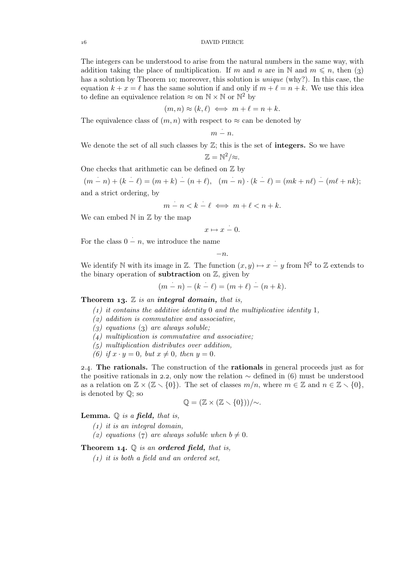The integers can be understood to arise from the natural numbers in the same way, with addition taking the place of multiplication. If m and n are in N and  $m \leq n$ , then (3) has a solution by Theorem 10; moreover, this solution is *unique* (why?). In this case, the equation  $k + x = \ell$  has the same solution if and only if  $m + \ell = n + k$ . We use this idea to define an equivalence relation  $\approx$  on  $\mathbb{N} \times \mathbb{N}$  or  $\mathbb{N}^2$  by

$$
(m,n) \approx (k,\ell) \iff m+\ell = n+k.
$$

The equivalence class of  $(m, n)$  with respect to  $\approx$  can be denoted by

$$
m \stackrel{\cdot}{-} n.
$$

We denote the set of all such classes by  $\mathbb{Z}$ ; this is the set of **integers.** So we have

$$
\mathbb{Z}=\mathbb{N}^2/\approx.
$$

One checks that arithmetic can be defined on  $\mathbb Z$  by

 $(m - n) + (k - \ell) = (m + k) - (n + \ell), \quad (m - n) \cdot (k - \ell) = (mk + n\ell) - (m\ell + nk);$ and a strict ordering, by

$$
m-n < k - \ell \iff m+\ell < n+k.
$$

We can embed  $\mathbb N$  in  $\mathbb Z$  by the map

$$
x \mapsto x \stackrel{\cdot}{-} 0.
$$

For the class  $0 - n$ , we introduce the name

$$
-n.
$$

We identify N with its image in Z. The function  $(x, y) \mapsto x - y$  from  $\mathbb{N}^2$  to Z extends to the binary operation of **subtraction** on  $\mathbb{Z}$ , given by

$$
(m - n) - (k - \ell) = (m + \ell) - (n + k).
$$

**Theorem 13.**  $\mathbb{Z}$  is an **integral domain**, that is,

- *() it contains the additive identity* 0 *and the multiplicative identity* 1*,*
- *() addition is commutative and associative,*
- $(g)$  equations  $(g)$  are always soluble;
- *() multiplication is commutative and associative;*
- *() multiplication distributes over addition,*
- *(6)* if  $x \cdot y = 0$ , but  $x \neq 0$ , then  $y = 0$ .

2.4. The rationals. The construction of the rationals in general proceeds just as for the positive rationals in 2.2, only now the relation  $\sim$  defined in (6) must be understood as a relation on  $\mathbb{Z} \times (\mathbb{Z} \setminus \{0\})$ . The set of classes  $m/n$ , where  $m \in \mathbb{Z}$  and  $n \in \mathbb{Z} \setminus \{0\}$ , is denoted by Q; so

$$
\mathbb{Q}=(\mathbb{Z}\times(\mathbb{Z}\times\{0\}))/\sim.
$$

Lemma. Q *is a* field, *that is,*

- *() it is an integral domain,*
- (2) equations (7) are always soluble when  $b \neq 0$ .

Theorem 14.  $\mathbb Q$  *is an ordered field, that is,* 

*() it is both a field and an ordered set,*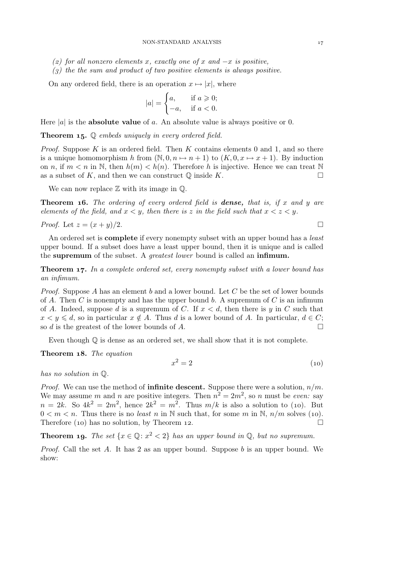### NON-STANDARD ANALYSIS

- *() for all nonzero elements* x*, exactly one of* x *and* −x *is positive,*
- *() the the sum and product of two positive elements is always positive.*

On any ordered field, there is an operation  $x \mapsto |x|$ , where

$$
|a| = \begin{cases} a, & \text{if } a \geqslant 0; \\ -a, & \text{if } a < 0. \end{cases}
$$

Here |a| is the **absolute value** of a. An absolute value is always positive or 0.

**Theorem 15.**  $\mathbb Q$  *embeds uniquely in every ordered field.* 

*Proof.* Suppose  $K$  is an ordered field. Then  $K$  contains elements 0 and 1, and so there is a unique homomorphism h from  $(\mathbb{N}, 0, n \mapsto n + 1)$  to  $(K, 0, x \mapsto x + 1)$ . By induction on n, if  $m < n$  in N, then  $h(m) < h(n)$ . Therefore h is injective. Hence we can treat N as a subset of K, and then we can construct  $\mathbb{O}$  inside K.  $\Box$ 

We can now replace  $\mathbb Z$  with its image in  $\mathbb Q$ .

Theorem . *The ordering of every ordered field is* dense, *that is, if* x *and* y *are elements of the field, and*  $x < y$ *, then there is* z *in the field such that*  $x < z < y$ *.* 

*Proof.* Let 
$$
z = (x + y)/2
$$
.

An ordered set is complete if every nonempty subset with an upper bound has a *least* upper bound. If a subset does have a least upper bound, then it is unique and is called the supremum of the subset. A *greatest lower* bound is called an infimum.

**Theorem 17.** In a complete ordered set, every nonempty subset with a lower bound has *an infimum.*

*Proof.* Suppose A has an element b and a lower bound. Let C be the set of lower bounds of A. Then C is nonempty and has the upper bound b. A supremum of C is an infimum of A. Indeed, suppose d is a supremum of C. If  $x < d$ , then there is y in C such that  $x < y \le d$ , so in particular  $x \notin A$ . Thus d is a lower bound of A. In particular,  $d \in C$ ;<br>so d is the greatest of the lower bounds of A. so  $d$  is the greatest of the lower bounds of  $A$ .

Even though  $\mathbb Q$  is dense as an ordered set, we shall show that it is not complete.

Theorem 18. The equation

$$
x^2 = 2\tag{10}
$$

*has no solution in* Q*.*

*Proof.* We can use the method of **infinite descent.** Suppose there were a solution,  $n/m$ . We may assume m and n are positive integers. Then  $n^2 = 2m^2$ , so n must be *even:* say  $n = 2k$ . So  $4k^2 = 2m^2$ , hence  $2k^2 = m^2$ . Thus  $m/k$  is also a solution to (10). But  $0 < m < n$ . Thus there is no *least* n in N such that, for some m in N,  $n/m$  solves (10). Therefore (10) has no solution, by Theorem 12.  $\Box$ 

**Theorem 19.** *The set*  $\{x \in \mathbb{Q} : x^2 < 2\}$  *has an upper bound in*  $\mathbb{Q}$ *, but no supremum.* 

*Proof.* Call the set A. It has 2 as an upper bound. Suppose b is an upper bound. We show: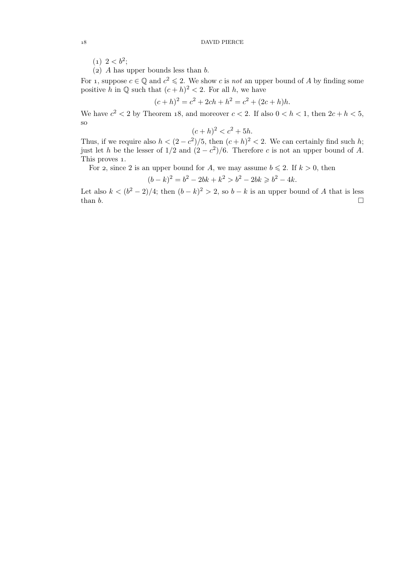$(1)$  2 <  $b^2$ ;

(2) A has upper bounds less than  $b$ .

For 1, suppose  $c \in \mathbb{Q}$  and  $c^2 \leq 2$ . We show c is *not* an upper bound of A by finding some positive h in  $\mathbb Q$  such that  $(c+h)^2 < 2$ . For all h, we have

$$
(c+h)^2 = c^2 + 2ch + h^2 = c^2 + (2c+h)h.
$$

We have  $c^2 < 2$  by Theorem 18, and moreover  $c < 2$ . If also  $0 < h < 1$ , then  $2c + h < 5$ , so

$$
(c+h)^2 < c^2 + 5h.
$$

Thus, if we require also  $h < (2 - c^2)/5$ , then  $(c + h)^2 < 2$ . We can certainly find such h; just let h be the lesser of  $1/2$  and  $(2 - c^2)/6$ . Therefore c is not an upper bound of A. This proves 1.

For 2, since 2 is an upper bound for A, we may assume  $b \le 2$ . If  $k > 0$ , then

$$
(b-k)^2 = b^2 - 2bk + k^2 > b^2 - 2bk \ge b^2 - 4k.
$$

Let also  $k < (b<sup>2</sup> - 2)/4$ ; then  $(b - k)<sup>2</sup> > 2$ , so  $b - k$  is an upper bound of A that is less than  $b$ .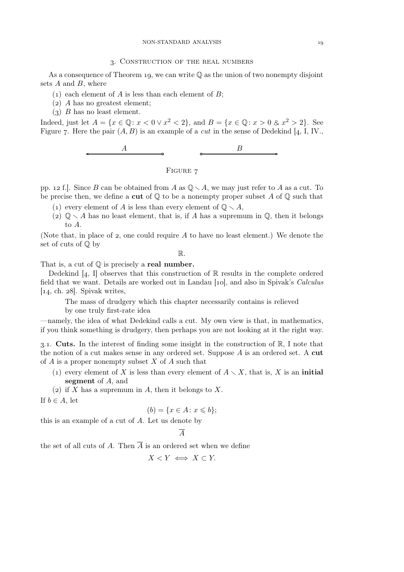### . Construction of the real numbers

As a consequence of Theorem 19, we can write  $\mathbb Q$  as the union of two nonempty disjoint sets  $A$  and  $B$ , where

- (1) each element of A is less than each element of B;
- $(a)$  A has no greatest element;
- $(3)$  B has no least element.

Indeed, just let  $A = \{x \in \mathbb{Q} : x < 0 \vee x^2 < 2\}$ , and  $B = \{x \in \mathbb{Q} : x > 0 \otimes x^2 > 2\}$ . See Figure 7. Here the pair  $(A, B)$  is an example of a *cut* in the sense of Dedekind [4, I, IV.,



FIGURE 7

pp. 12 f.]. Since B can be obtained from A as  $\mathbb{Q} \setminus A$ , we may just refer to A as a cut. To be precise then, we define a cut of  $\mathbb Q$  to be a nonempty proper subset A of  $\mathbb Q$  such that

- (1) every element of A is less than every element of  $\mathbb{O} \setminus A$ ,
- (2)  $\mathbb{Q} \setminus A$  has no least element, that is, if A has a supremum in  $\mathbb{Q}$ , then it belongs to A.

(Note that, in place of  $\mathfrak z$ , one could require A to have no least element.) We denote the set of cuts of Q by

R.

That is, a cut of  $\mathbb O$  is precisely a real number.

Dedekind  $[4, I]$  observes that this construction of  $\mathbb R$  results in the complete ordered field that we want. Details are worked out in Landau [10], and also in Spivak's *Calculus*  $\vert$ 14, ch. 28. Spivak writes,

The mass of drudgery which this chapter necessarily contains is relieved

by one truly first-rate idea

—namely, the idea of what Dedekind calls a cut. My own view is that, in mathematics, if you think something is drudgery, then perhaps you are not looking at it the right way.

3.1. Cuts. In the interest of finding some insight in the construction of  $\mathbb{R}$ , I note that the notion of a cut makes sense in any ordered set. Suppose  $A$  is an ordered set. A cut of A is a proper nonempty subset X of A such that

- (1) every element of X is less than every element of  $A \setminus X$ , that is, X is an initial segment of A, and
- (2) if X has a supremum in A, then it belongs to X.

If  $b \in A$ , let

$$
(b) = \{x \in A \colon x \leqslant b\};
$$

this is an example of a cut of A. Let us denote by

 $\overline{A}$ 

the set of all cuts of A. Then  $\overline{A}$  is an ordered set when we define

$$
X < Y \iff X \subset Y.
$$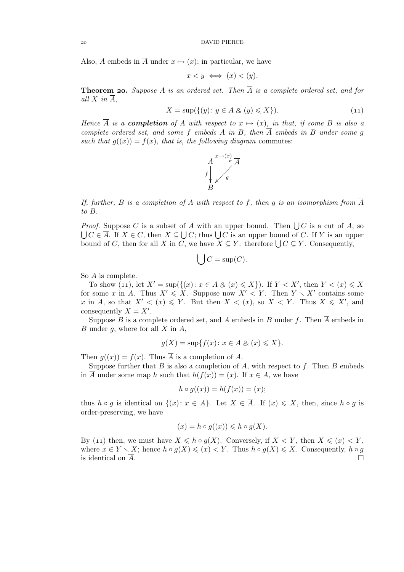Also, A embeds in  $\overline{A}$  under  $x \mapsto (x)$ ; in particular, we have

$$
x < y \iff (x) < (y).
$$

**Theorem 20.** Suppose A is an ordered set. Then  $\overline{A}$  is a complete ordered set, and for *all*  $X$  *in*  $\overline{A}$ *,* 

$$
X = \sup\{\{(y) \colon y \in A \& (y) \leqslant X\}\}.\tag{11}
$$

*Hence*  $\overline{A}$  *is a completion of* A with respect to  $x \mapsto (x)$ *, in that, if some* B *is also a complete ordered set, and some* f *embeds* A *in* B, then  $\overline{A}$  *embeds* in B *under some* g such that  $g((x)) = f(x)$ *, that is, the following diagram* commutes:



*If, further,* B *is a completion of* A *with respect to* f*, then* g *is an isomorphism from* A *to* B*.*

*Proof.* Suppose C is a subset of  $\overline{A}$  with an upper bound. Then  $\bigcup C$  is a cut of A, so  $\bigcup C \in \overline{A}$ . If  $X \in C$ , then  $X \subseteq \bigcup C$ ; thus  $\bigcup C$  is an upper bound of C. If Y is an upper bound of C, then for all X in C, we have  $\overline{X} \subseteq Y$ : therefore  $\bigcup C \subseteq Y$ . Consequently,

$$
\bigcup C = \sup(C).
$$

So  $\overline{A}$  is complete.

To show (11), let  $X' = \sup\{(\{(x): x \in A \& (x) \leq X\})\}\$  If  $Y < X'$ , then  $Y < (x) \leq X$ for some x in A. Thus  $X' \leq X$ . Suppose now  $X' \leq Y$ . Then  $Y \setminus X'$  contains some x in A, so that  $X' < (x) \leq Y$ . But then  $X < (x)$ , so  $X < Y$ . Thus  $X \leq X'$ , and consequently  $X = X'$ .

Suppose B is a complete ordered set, and A embeds in B under f. Then  $\overline{A}$  embeds in B under  $q$ , where for all  $X$  in  $A$ ,

$$
g(X) = \sup\{f(x) \colon x \in A \& (x) \leq X\}.
$$

Then  $g((x)) = f(x)$ . Thus  $\overline{A}$  is a completion of A.

Suppose further that  $B$  is also a completion of  $A$ , with respect to f. Then  $B$  embeds in  $\overline{A}$  under some map h such that  $h(f(x)) = (x)$ . If  $x \in A$ , we have

$$
h \circ g((x)) = h(f(x)) = (x);
$$

thus  $h \circ g$  is identical on  $\{(x): x \in A\}$ . Let  $X \in \overline{A}$ . If  $(x) \leq X$ , then, since  $h \circ g$  is order-preserving, we have

$$
(x) = h \circ g((x)) \leq h \circ g(X).
$$

By (11) then, we must have  $X \leq h \circ q(X)$ . Conversely, if  $X \leq Y$ , then  $X \leq (x) \leq Y$ . where  $x \in Y \setminus X$ ; hence  $h \circ g(X) \leqslant (x) < Y$ . Thus  $h \circ g(X) \leqslant X$ . Consequently,  $h \circ g$  is identical on  $\overline{A}$ . is identical on  $\overline{A}$ .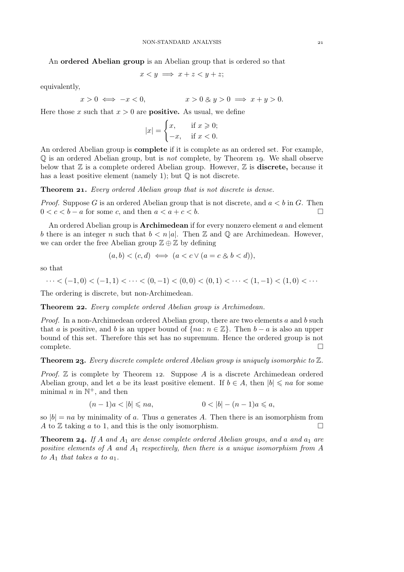An ordered Abelian group is an Abelian group that is ordered so that

$$
x < y \implies x + z < y + z;
$$

equivalently,

$$
x > 0 \iff -x < 0,
$$
  

$$
x > 0 \& y > 0 \implies x + y > 0.
$$

Here those x such that  $x > 0$  are **positive.** As usual, we define

$$
|x| = \begin{cases} x, & \text{if } x \geqslant 0; \\ -x, & \text{if } x < 0. \end{cases}
$$

An ordered Abelian group is complete if it is complete as an ordered set. For example,  $\mathbb Q$  is an ordered Abelian group, but is *not* complete, by Theorem 19. We shall observe below that  $\mathbb Z$  is a complete ordered Abelian group. However,  $\mathbb Z$  is **discrete**, because it has a least positive element (namely 1); but  $\mathbb O$  is not discrete.

**Theorem 21.** *Every ordered Abelian group that is not discrete is dense.* 

*Proof.* Suppose G is an ordered Abelian group that is not discrete, and  $a < b$  in G. Then  $0 < c < b - a$  for some c, and then  $a < a + c < b$ .

An ordered Abelian group is **Archimedean** if for every nonzero element  $a$  and element b there is an integer n such that  $b < n |a|$ . Then Z and Q are Archimedean. However, we can order the free Abelian group  $\mathbb{Z} \oplus \mathbb{Z}$  by defining

$$
(a,b) < (c,d) \iff (a < c \lor (a = c \& b < d)),
$$

so that

$$
\cdots < (-1,0) < (-1,1) < \cdots < (0,-1) < (0,0) < (0,1) < \cdots < (1,-1) < (1,0) < \cdots
$$

The ordering is discrete, but non-Archimedean.

**Theorem 22.** *Every complete ordered Abelian group is Archimedean.* 

*Proof.* In a non-Archimedean ordered Abelian group, there are two elements a and b such that a is positive, and b is an upper bound of  $\{na: n \in \mathbb{Z}\}\$ . Then  $b - a$  is also an upper bound of this set. Therefore this set has no supremum. Hence the ordered group is not  $\Box$  complete.  $\Box$ 

**Theorem 23.** Every discrete complete ordered Abelian group is uniquely isomorphic to  $\mathbb{Z}$ .

*Proof.*  $\mathbb Z$  is complete by Theorem 12. Suppose  $A$  is a discrete Archimedean ordered Abelian group, and let a be its least positive element. If  $b \in A$ , then  $|b| \leq n a$  for some minimal  $n$  in  $\mathbb{N}^+$ , and then

$$
(n-1)a < |b| \le na, \qquad 0 < |b| - (n-1)a \le a,
$$

so  $|b| = na$  by minimality of a. Thus a generates A. Then there is an isomorphism from A to Z taking a to 1 and this is the only isomorphism A to  $\mathbb Z$  taking a to 1, and this is the only isomorphism.

**Theorem 24.** If A and  $A_1$  are dense complete ordered Abelian groups, and a and  $a_1$  are *positive elements of* A *and* A<sup>1</sup> *respectively, then there is a unique isomorphism from* A *to*  $A_1$  *that takes* a *to*  $a_1$ *.*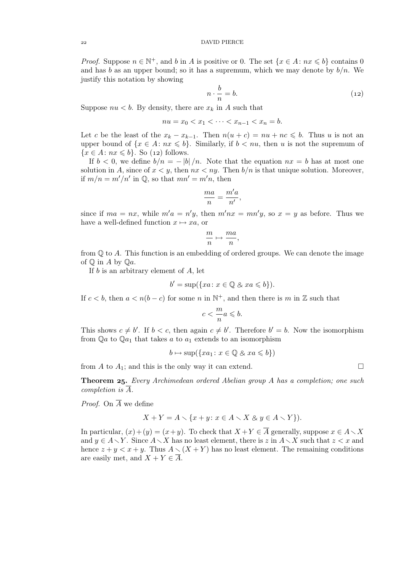*Proof.* Suppose  $n \in \mathbb{N}^+$ , and b in A is positive or 0. The set  $\{x \in A : nx \leq b\}$  contains 0 and has b as an upper bound; so it has a supremum, which we may denote by  $b/n$ . We justify this notation by showing

$$
n \cdot \frac{b}{n} = b. \tag{12}
$$

Suppose  $nu < b$ . By density, there are  $x_k$  in A such that

$$
nu = x_0 < x_1 < \dots < x_{n-1} < x_n = b.
$$

Let c be the least of the  $x_k - x_{k-1}$ . Then  $n(u + c) = nu + nc \leq b$ . Thus u is not an upper bound of  $\{x \in A : nx \leq b\}$ . Similarly, if  $b < nu$ , then u is not the supremum of  ${x \in A : nx \leq b}$ . So (12) follows.

If  $b < 0$ , we define  $b/n = - |b|/n$ . Note that the equation  $nx = b$  has at most one solution in A, since of  $x < y$ , then  $nx < ny$ . Then  $b/n$  is that unique solution. Moreover, if  $m/n = m'/n'$  in  $\mathbb{Q}$ , so that  $mn' = m'n$ , then

$$
\frac{ma}{n} = \frac{m'a}{n'},
$$

since if  $ma = nx$ , while  $m'a = n'y$ , then  $m'nx = mn'y$ , so  $x = y$  as before. Thus we have a well-defined function  $x \mapsto xa$ , or

$$
\frac{m}{n} \mapsto \frac{ma}{n},
$$

from  $\mathbb Q$  to A. This function is an embedding of ordered groups. We can denote the image of  $\mathbb{Q}$  in A by  $\mathbb{Q}a$ .

If  $b$  is an arbitrary element of  $A$ , let

$$
b' = \sup(\{xa \colon x \in \mathbb{Q} \& xa \leq b\}).
$$

If  $c < b$ , then  $a < n(b - c)$  for some n in  $\mathbb{N}^+$ , and then there is m in Z such that

$$
c<\frac{m}{n}a\leqslant b.
$$

This shows  $c \neq b'$ . If  $b < c$ , then again  $c \neq b'$ . Therefore  $b' = b$ . Now the isomorphism from  $\mathbb{Q}a$  to  $\mathbb{Q}a_1$  that takes a to  $a_1$  extends to an isomorphism

$$
b \mapsto \sup(\{xa_1 \colon x \in \mathbb{Q} \& xa \leqslant b\})
$$

from A to  $A_1$ ; and this is the only way it can extend.  $\square$ 

Theorem . *Every Archimedean ordered Abelian group* A *has a completion; one such completion is*  $\overline{A}$ *.* 

*Proof.* On  $\overline{A}$  we define

$$
X + Y = A \setminus \{x + y \colon x \in A \setminus X \otimes y \in A \setminus Y\}.
$$

In particular,  $(x)+(y) = (x+y)$ . To check that  $X+Y \in \overline{A}$  generally, suppose  $x \in A \setminus X$ and  $y \in A \setminus Y$ . Since  $A \setminus X$  has no least element, there is z in  $A \setminus X$  such that  $z < x$  and hence  $z + y < x + y$ . Thus  $A \setminus (X + Y)$  has no least element. The remaining conditions are easily met, and  $X + Y \in \overline{A}$ .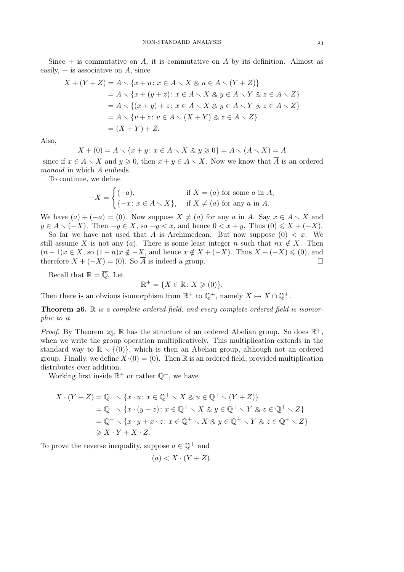Since  $+$  is commutative on A, it is commutative on  $\overline{A}$  by its definition. Almost as easily,  $+$  is associative on  $\overline{A}$ , since

$$
X + (Y + Z) = A \setminus \{x + u : x \in A \setminus X \otimes u \in A \setminus (Y + Z)\}
$$
  
=  $A \setminus \{x + (y + z) : x \in A \setminus X \otimes y \in A \setminus Y \otimes z \in A \setminus Z\}$   
=  $A \setminus \{(x + y) + z : x \in A \setminus X \otimes y \in A \setminus Y \otimes z \in A \setminus Z\}$   
=  $A \setminus \{v + z : v \in A \setminus (X + Y) \otimes z \in A \setminus Z\}$   
=  $(X + Y) + Z$ .

Also,

$$
X + (0) = A \setminus \{x + y \colon x \in A \setminus X \otimes y \ge 0\} = A \setminus (A \setminus X) = A
$$

since if  $x \in A \setminus X$  and  $y \geq 0$ , then  $x + y \in A \setminus X$ . Now we know that  $\overline{A}$  is an ordered *monoid* in which A embeds.

To continue, we define

$$
-X = \begin{cases} (-a), & \text{if } X = (a) \text{ for some } a \text{ in } A; \\ \{-x \colon x \in A \setminus X\}, & \text{if } X \neq (a) \text{ for any } a \text{ in } A. \end{cases}
$$

We have  $(a) + (-a) = (0)$ . Now suppose  $X \neq (a)$  for any a in A. Say  $x \in A \setminus X$  and  $y \in A \setminus (-X)$ . Then  $-y \in X$ , so  $-y < x$ , and hence  $0 < x + y$ . Thus  $(0) \leq X + (-X)$ .

So far we have not used that A is Archimedean. But now suppose  $(0) < x$ . We still assume X is not any (a). There is some least integer n such that  $nx \notin X$ . Then  $(n-1)x \in X$ , so  $(1-n)x \notin -X$ , and hence  $x \notin X + (-X)$ . Thus  $X + (-X) \leq (0)$ , and therefore  $X + (-X) = (0)$ . So  $\overline{A}$  is indeed a group. therefore  $X + (-X) = (0)$ . So  $\overline{A}$  is indeed a group.

Recall that  $\mathbb{R} = \overline{\mathbb{Q}}$ . Let

$$
\mathbb{R}^+ = \{ X \in \mathbb{R} \colon X \geqslant (0) \}.
$$

Then there is an obvious isomorphism from  $\mathbb{R}^+$  to  $\overline{\mathbb{Q}^+}$ , namely  $X \mapsto X \cap \mathbb{Q}^+$ .

**Theorem 26.** R *is a complete ordered field, and every complete ordered field is isomorphic to it.*

*Proof.* By Theorem 25, R has the structure of an ordered Abelian group. So does  $\overline{\mathbb{R}^+}$ , when we write the group operation multiplicatively. This multiplication extends in the standard way to  $\mathbb{R} \setminus \{(0)\}\$ , which is then an Abelian group, although not an ordered group. Finally, we define  $X(0) = (0)$ . Then R is an ordered field, provided multiplication distributes over addition.

Working first inside  $\mathbb{R}^+$  or rather  $\overline{\mathbb{Q}^+}$ , we have

$$
X \cdot (Y + Z) = \mathbb{Q}^+ \setminus \{x \cdot u \colon x \in \mathbb{Q}^+ \setminus X \otimes u \in \mathbb{Q}^+ \setminus (Y + Z)\}
$$
  
=  $\mathbb{Q}^+ \setminus \{x \cdot (y + z) \colon x \in \mathbb{Q}^+ \setminus X \otimes y \in \mathbb{Q}^+ \setminus Y \otimes z \in \mathbb{Q}^+ \setminus Z\}$   
=  $\mathbb{Q}^+ \setminus \{x \cdot y + x \cdot z \colon x \in \mathbb{Q}^+ \setminus X \otimes y \in \mathbb{Q}^+ \setminus Y \otimes z \in \mathbb{Q}^+ \setminus Z\}$   
 $\geq X \cdot Y + X \cdot Z.$ 

To prove the reverse inequality, suppose  $a \in \mathbb{Q}^+$  and

$$
(a) < X \cdot (Y + Z).
$$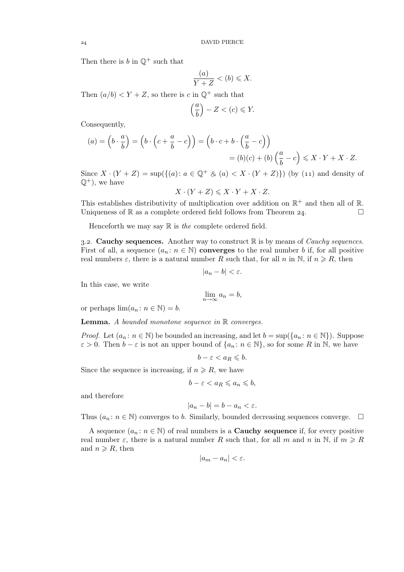Then there is  $b$  in  $\mathbb{Q}^+$  such that

$$
\frac{(a)}{Y+Z} < (b) \leq X.
$$

Then  $(a/b) < Y + Z$ , so there is c in  $\mathbb{Q}^+$  such that

$$
\left(\frac{a}{b}\right) - Z < (c) \leqslant Y.
$$

Consequently,

$$
(a) = \left(b \cdot \frac{a}{b}\right) = \left(b \cdot \left(c + \frac{a}{b} - c\right)\right) = \left(b \cdot c + b \cdot \left(\frac{a}{b} - c\right)\right)
$$

$$
= (b)(c) + (b)\left(\frac{a}{b} - c\right) \leq X \cdot Y + X \cdot Z.
$$

Since  $X \cdot (Y + Z) = \sup(\{(a): a \in \mathbb{Q}^+ \otimes (a) < X \cdot (Y + Z)\})$  (by (11) and density of  $\mathbb{Q}^+$ , we have

 $X \cdot (Y + Z) \leqslant X \cdot Y + X \cdot Z$ .

This establishes distributivity of multiplication over addition on  $\mathbb{R}^+$  and then all of  $\mathbb{R}$ . Uniqueness of  $\mathbb R$  as a complete ordered field follows from Theorem 24.

Henceforth we may say R is *the* complete ordered field.

3.2. **Cauchy sequences.** Another way to construct  $\mathbb{R}$  is by means of *Cauchy sequences*. First of all, a sequence  $(a_n : n \in \mathbb{N})$  converges to the real number b if, for all positive real numbers  $\varepsilon$ , there is a natural number R such that, for all n in N, if  $n \ge R$ , then

$$
|a_n-b|<\varepsilon.
$$

In this case, we write

$$
\lim_{n \to \infty} a_n = b,
$$

or perhaps  $\lim(a_n : n \in \mathbb{N}) = b$ .

Lemma. *A bounded monotone sequence in* R *converges.*

*Proof.* Let  $(a_n : n \in \mathbb{N})$  be bounded an increasing, and let  $b = \sup(\{a_n : n \in \mathbb{N}\})$ . Suppose  $\varepsilon > 0$ . Then  $b - \varepsilon$  is not an upper bound of  $\{a_n : n \in \mathbb{N}\}\)$ , so for some R in N, we have

$$
b - \varepsilon < a_R \leqslant b.
$$

Since the sequence is increasing, if  $n \ge R$ , we have

$$
b - \varepsilon < a_R \leqslant a_n \leqslant b,
$$

and therefore

$$
|a_n - b| = b - a_n < \varepsilon.
$$

Thus  $(a_n : n \in \mathbb{N})$  converges to b. Similarly, bounded decreasing sequences converge.  $\Box$ 

A sequence  $(a_n : n \in \mathbb{N})$  of real numbers is a **Cauchy sequence** if, for every positive real number  $\varepsilon$ , there is a natural number R such that, for all m and n in N, if  $m \geq R$ and  $n \ge R$ , then

$$
|a_m - a_n| < \varepsilon.
$$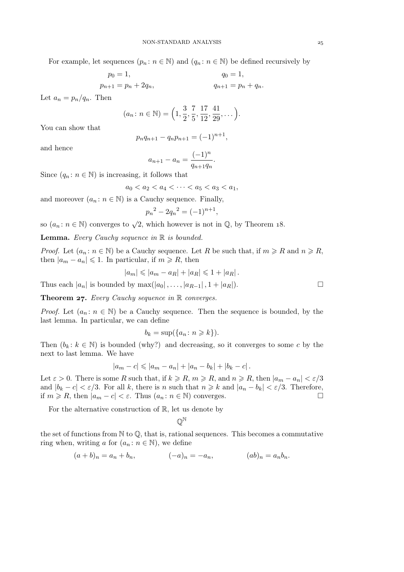For example, let sequences  $(p_n : n \in \mathbb{N})$  and  $(q_n : n \in \mathbb{N})$  be defined recursively by

$$
p_0 = 1,
$$
  
\n $p_{n+1} = p_n + 2q_n,$   
\n $q_0 = 1,$   
\n $q_{n+1} = p_n + q_n.$ 

Let  $a_n = p_n/q_n$ . Then

$$
(a_n \colon n \in \mathbb{N}) = \left(1, \frac{3}{2}, \frac{7}{5}, \frac{17}{12}, \frac{41}{29}, \dots\right)
$$

.

You can show that

$$
p_n q_{n+1} - q_n p_{n+1} = (-1)^{n+1},
$$

and hence

$$
a_{n+1} - a_n = \frac{(-1)^n}{q_{n+1}q_n}.
$$

Since  $(q_n : n \in \mathbb{N})$  is increasing, it follows that

$$
a_0 < a_2 < a_4 < \cdots < a_5 < a_3 < a_1
$$

and moreover  $(a_n : n \in \mathbb{N})$  is a Cauchy sequence. Finally,

$$
p_n^2 - 2q_n^2 = (-1)^{n+1},
$$

so  $(a_n: n \in \mathbb{N})$  converges to  $\sqrt{2}$ , which however is not in  $\mathbb{Q}$ , by Theorem 18.

Lemma. *Every Cauchy sequence in* R *is bounded.*

*Proof.* Let  $(a_n : n \in \mathbb{N})$  be a Cauchy sequence. Let R be such that, if  $m \ge R$  and  $n \ge R$ , then  $|a_m - a_n| \leq 1$ . In particular, if  $m \geq R$ , then

$$
|a_m| \leq |a_m - a_R| + |a_R| \leq 1 + |a_R|.
$$

Thus each  $|a_n|$  is bounded by  $\max(|a_0|, \ldots, |a_{R-1}|, 1 + |a_R|)$ .

Theorem 27. *Every Cauchy sequence in* R *converges.* 

*Proof.* Let  $(a_n : n \in \mathbb{N})$  be a Cauchy sequence. Then the sequence is bounded, by the last lemma. In particular, we can define

$$
b_k = \sup(\{a_n : n \ge k\}).
$$

Then  $(b_k : k \in \mathbb{N})$  is bounded (why?) and decreasing, so it converges to some c by the next to last lemma. We have

$$
|a_m - c| \leq |a_m - a_n| + |a_n - b_k| + |b_k - c|.
$$

Let  $\varepsilon > 0$ . There is some R such that, if  $k \ge R$ ,  $m \ge R$ , and  $n \ge R$ , then  $|a_m - a_n| < \varepsilon/3$ and  $|b_k - c| < \varepsilon/3$ . For all k, there is n such that  $n \ge k$  and  $|a_n - b_k| < \varepsilon/3$ . Therefore, if  $m \ge R$  then  $|a_m - c| < \varepsilon$ . Thus  $(a_n : n \in \mathbb{N})$  converges if  $m \ge R$ , then  $|a_m - c| < \varepsilon$ . Thus  $(a_n : n \in \mathbb{N})$  converges.

For the alternative construction of  $\mathbb{R}$ , let us denote by

Q N

the set of functions from  $\mathbb N$  to  $\mathbb Q$ , that is, rational sequences. This becomes a commutative ring when, writing a for  $(a_n : n \in \mathbb{N})$ , we define

$$
(a+b)_n = a_n + b_n,
$$
  $(-a)_n = -a_n,$   $(ab)_n = a_n b_n.$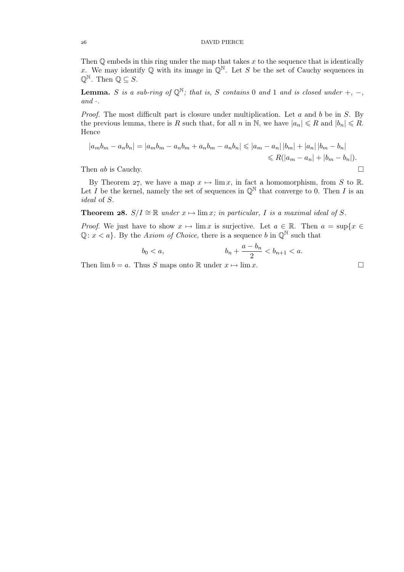# DAVID PIERCE

Then  $Q$  embeds in this ring under the map that takes  $x$  to the sequence that is identically x. We may identify Q with its image in  $\mathbb{Q}^{\mathbb{N}}$ . Let S be the set of Cauchy sequences in  $\mathbb{Q}^{\mathbb{N}}$ . Then  $\mathbb{Q} \subseteq S$ .

**Lemma.** S is a sub-ring of  $\mathbb{Q}^{\mathbb{N}}$ ; that is, S contains 0 and 1 and is closed under +, -, *and* ·*.*

*Proof.* The most difficult part is closure under multiplication. Let a and b be in S. By the previous lemma, there is R such that, for all n in N, we have  $|a_n| \le R$  and  $|b_n| \le R$ . Hence

$$
|a_m b_m - a_n b_n| = |a_m b_m - a_n b_m + a_n b_m - a_n b_n| \le |a_m - a_n| |b_m| + |a_n| |b_m - b_n|
$$
  
Then  $ab$  is Cauchy. 
$$
\Box
$$

By Theorem 27, we have a map  $x \mapsto \lim x$ , in fact a homomorphism, from S to R. Let I be the kernel, namely the set of sequences in  $\mathbb{Q}^{\mathbb{N}}$  that converge to 0. Then I is an *ideal* of S.

**Theorem 28.**  $S/I \cong \mathbb{R}$  *under*  $x \mapsto \lim x$ *; in particular,* I *is a maximal ideal of* S.

*Proof.* We just have to show  $x \mapsto \lim x$  is surjective. Let  $a \in \mathbb{R}$ . Then  $a = \sup\{x \in \mathbb{R}\}$  $\mathbb{Q}: x \leq a$ . By the *Axiom of Choice*, there is a sequence b in  $\mathbb{Q}^{\mathbb{N}}$  such that

$$
b_0 < a, \t\t b_n + \frac{a - b_n}{2} < b_{n+1} < a.
$$

Then  $\lim b = a$ . Thus S maps onto R under  $x \mapsto \lim x$ .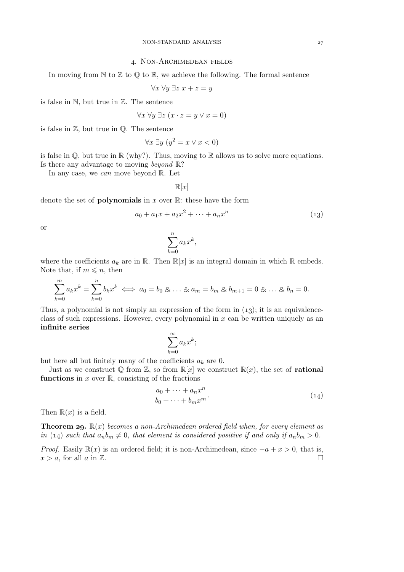### . Non-Archimedean fields

In moving from  $\mathbb N$  to  $\mathbb Z$  to  $\mathbb Q$  to  $\mathbb R$ , we achieve the following. The formal sentence

$$
\forall x \; \forall y \; \exists z \; x + z = y
$$

is false in N, but true in Z. The sentence

$$
\forall x \,\forall y \,\exists z \,(x \cdot z = y \vee x = 0)
$$

is false in  $\mathbb{Z}$ , but true in  $\mathbb{Q}$ . The sentence

$$
\forall x \; \exists y \; (y^2 = x \lor x < 0)
$$

is false in  $\mathbb{Q}$ , but true in  $\mathbb{R}$  (why?). Thus, moving to  $\mathbb{R}$  allows us to solve more equations. Is there any advantage to moving *beyond* R?

In any case, we *can* move beyond R. Let

$$
\mathbb{R}[x]
$$

denote the set of **polynomials** in x over  $\mathbb{R}$ : these have the form

$$
a_0 + a_1 x + a_2 x^2 + \dots + a_n x^n \tag{13}
$$

or

$$
\sum_{k=0}^{n} a_k x^k,
$$

where the coefficients  $a_k$  are in R. Then  $\mathbb{R}[x]$  is an integral domain in which R embeds. Note that, if  $m \leq n$ , then

$$
\sum_{k=0}^{m} a_k x^k = \sum_{k=0}^{n} b_k x^k \iff a_0 = b_0 \otimes \ldots \otimes a_m = b_m \otimes b_{m+1} = 0 \otimes \ldots \otimes b_n = 0.
$$

Thus, a polynomial is not simply an expression of the form in  $(13)$ ; it is an equivalenceclass of such expressions. However, every polynomial in  $x$  can be written uniquely as an infinite series

$$
\sum_{k=0}^{\infty} a_k x^k;
$$

but here all but finitely many of the coefficients  $a_k$  are 0.

Just as we construct  $\mathbb{Q}$  from  $\mathbb{Z}$ , so from  $\mathbb{R}[x]$  we construct  $\mathbb{R}(x)$ , the set of **rational** functions in  $x$  over  $\mathbb{R}$ , consisting of the fractions

$$
\frac{a_0 + \dots + a_n x^n}{b_0 + \dots + b_m x^m}.
$$
\n(14)

Then  $\mathbb{R}(x)$  is a field.

**Theorem 29.**  $\mathbb{R}(x)$  *becomes a non-Archimedean ordered field when, for every element as in* (14) *such that*  $a_n b_m \neq 0$ *, that element is considered positive if and only if*  $a_n b_m > 0$ *.* 

*Proof.* Easily  $\mathbb{R}(x)$  is an ordered field; it is non-Archimedean, since  $-a + x > 0$ , that is,  $x > a$  for all  $a$  in  $\mathbb{Z}$ .  $x > a$ , for all a in  $\mathbb{Z}$ .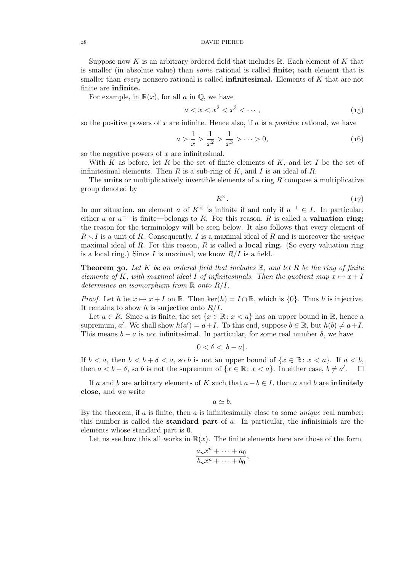### DAVID PIERCE

Suppose now K is an arbitrary ordered field that includes  $\mathbb{R}$ . Each element of K that is smaller (in absolute value) than *some* rational is called finite; each element that is smaller than *every* nonzero rational is called infinitesimal. Elements of K that are not finite are infinite.

For example, in  $\mathbb{R}(x)$ , for all a in  $\mathbb{Q}$ , we have

$$
a < x < x^2 < x^3 < \cdots,\tag{15}
$$

so the positive powers of x are infinite. Hence also, if a is a *positive* rational, we have

$$
a > \frac{1}{x} > \frac{1}{x^2} > \frac{1}{x^3} > \dots > 0,\tag{16}
$$

so the negative powers of  $x$  are infinitesimal.

With K as before, let R be the set of finite elements of  $K$ , and let I be the set of infinitesimal elements. Then R is a sub-ring of K, and I is an ideal of R.

The **units** or multiplicatively invertible elements of a ring  $R$  compose a multiplicative group denoted by

$$
R^{\times}.
$$
 (17)

In our situation, an element a of  $K^{\times}$  is infinite if and only if  $a^{-1} \in I$ . In particular, either a or  $a^{-1}$  is finite—belongs to R. For this reason, R is called a **valuation ring**; the reason for the terminology will be seen below. It also follows that every element of  $R \setminus I$  is a unit of R. Consequently, I is a maximal ideal of R and is moreover the *unique* maximal ideal of R. For this reason, R is called a **local ring.** (So every valuation ring is a local ring.) Since I is maximal, we know  $R/I$  is a field.

**Theorem 30.** Let K be an ordered field that includes  $\mathbb{R}$ , and let R be the ring of finite *elements of* K, with maximal ideal I of infinitesimals. Then the quotient map  $x \mapsto x + I$ *determines an isomorphism from* R *onto* R/I*.*

*Proof.* Let h be  $x \mapsto x + I$  on R. Then ker(h) =  $I \cap \mathbb{R}$ , which is {0}. Thus h is injective. It remains to show h is surjective onto  $R/I$ .

Let  $a \in R$ . Since a is finite, the set  $\{x \in \mathbb{R} : x < a\}$  has an upper bound in  $\mathbb{R}$ , hence a supremum, a'. We shall show  $h(a') = a + I$ . To this end, suppose  $b \in \mathbb{R}$ , but  $h(b) \neq a + I$ . This means  $b - a$  is not infinitesimal. In particular, for some real number  $\delta$ , we have

$$
0<\delta<|b-a|.
$$

If  $b < a$ , then  $b < b + \delta < a$ , so b is not an upper bound of  $\{x \in \mathbb{R} : x < a\}$ . If  $a < b$ , then  $a < b - \delta$ , so b is not the supremum of  $\{x \in \mathbb{R} : x < a\}$ . In either case,  $b \neq a'$  $\Box$ 

If a and b are arbitrary elements of K such that  $a - b \in I$ , then a and b are **infinitely** close, and we write

$$
a\simeq b.
$$

By the theorem, if a is finite, then a is infinitesimally close to some *unique* real number; this number is called the **standard part** of  $a$ . In particular, the infinisimals are the elements whose standard part is 0.

Let us see how this all works in  $\mathbb{R}(x)$ . The finite elements here are those of the form

$$
\frac{a_n x^n + \dots + a_0}{b_n x^n + \dots + b_0},
$$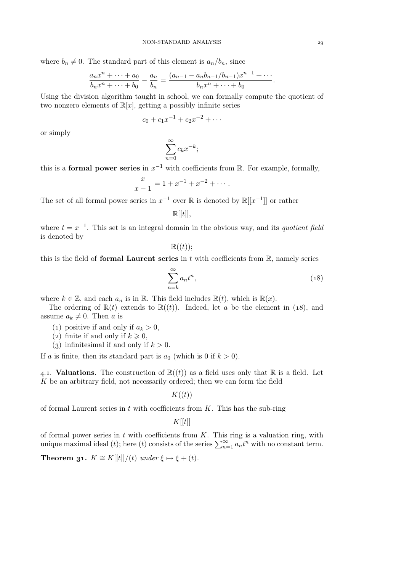where  $b_n \neq 0$ . The standard part of this element is  $a_n/b_n$ , since

$$
\frac{a_n x^n + \dots + a_0}{b_n x^n + \dots + b_0} - \frac{a_n}{b_n} = \frac{(a_{n-1} - a_n b_{n-1}/b_{n-1})x^{n-1} + \dots}{b_n x^n + \dots + b_0}.
$$

Using the division algorithm taught in school, we can formally compute the quotient of two nonzero elements of  $\mathbb{R}[x]$ , getting a possibly infinite series

$$
c_0 + c_1 x^{-1} + c_2 x^{-2} + \cdots
$$

or simply

$$
\sum_{n=0}^{\infty} c_k x^{-k};
$$

this is a **formal power series** in  $x^{-1}$  with coefficients from R. For example, formally,

$$
\frac{x}{x-1} = 1 + x^{-1} + x^{-2} + \cdots
$$

The set of all formal power series in  $x^{-1}$  over R is denoted by  $\mathbb{R}[[x^{-1}]]$  or rather

$$
\mathbb{R}[[t]],
$$

where  $t = x^{-1}$ . This set is an integral domain in the obvious way, and its *quotient field* is denoted by

 $\mathbb{R}((t))$ ;

this is the field of formal Laurent series in  $t$  with coefficients from  $\mathbb R$ , namely series

$$
\sum_{n=k}^{\infty} a_n t^n,
$$
\n(18)

where  $k \in \mathbb{Z}$ , and each  $a_n$  is in  $\mathbb{R}$ . This field includes  $\mathbb{R}(t)$ , which is  $\mathbb{R}(x)$ .

The ordering of  $\mathbb{R}(t)$  extends to  $\mathbb{R}((t))$ . Indeed, let a be the element in (18), and assume  $a_k \neq 0$ . Then a is

- (1) positive if and only if  $a_k > 0$ ,
- (2) finite if and only if  $k \geq 0$ ,
- (3) infinitesimal if and only if  $k > 0$ .

If a is finite, then its standard part is  $a_0$  (which is 0 if  $k > 0$ ).

4.1. Valuations. The construction of  $\mathbb{R}((t))$  as a field uses only that  $\mathbb R$  is a field. Let K be an arbitrary field, not necessarily ordered; then we can form the field

 $K((t))$ 

of formal Laurent series in  $t$  with coefficients from  $K$ . This has the sub-ring

 $K[[t]]$ 

of formal power series in  $t$  with coefficients from  $K$ . This ring is a valuation ring, with unique maximal ideal (t); here (t) consists of the series  $\sum_{n=1}^{\infty} a_n t^n$  with no constant term.

**Theorem 31.**  $K \cong K[[t]]/(t)$  *under*  $\xi \mapsto \xi + (t)$ *.*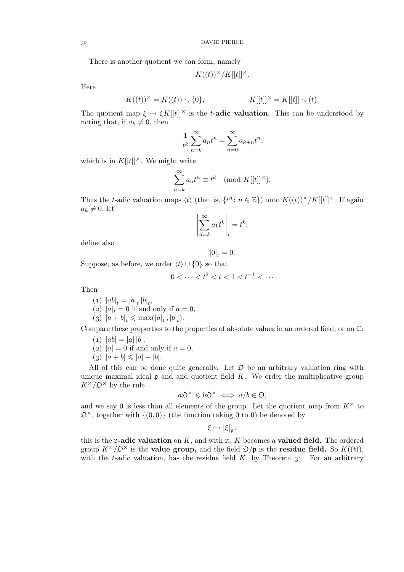There is another quotient we can form, namely

$$
K((t))^\times/K[[t]]^\times.
$$

Here

$$
K((t))^{\times} = K((t)) \setminus \{0\},
$$
  $K[[t]]^{\times} = K[[t]] \setminus (t).$ 

The quotient map  $\xi \mapsto \xi K[[t]]^{\times}$  is the t-adic valuation. This can be understood by noting that, if  $a_k \neq 0$ , then

$$
\frac{1}{t^k}\sum_{n=k}^{\infty}a_nt^n=\sum_{n=0}^{\infty}a_{k+n}t^n,
$$

which is in  $K[[t]]^{\times}$ . We might write

$$
\sum_{n=k}^{\infty} a_n t^n \equiv t^k \pmod{K[[t]]^{\times}}.
$$

Thus the t-adic valuation maps  $\langle t \rangle$  (that is,  $\{t^n : n \in \mathbb{Z}\}\rangle$ ) onto  $K((t))^\times/K[[t]]^\times$ . If again  $a_k \neq 0$ , let

$$
\left| \sum_{n=k}^{\infty} a_k t^k \right|_t = t^k;
$$

define also

$$
|0|_t = 0.
$$

Suppose, as before, we order  $\langle t \rangle \cup \{0\}$  so that

$$
0 < \dots < t^2 < t < 1 < t^{-1} < \dots
$$

Then

- (1)  $|ab|_t = |a|_t |b|_t$ ,
- (2)  $|a|_t = 0$  if and only if  $a = 0$ ,
- (3)  $|a + b|_t \le \max(|a|_t, |b|_t).$

Compare these properties to the properties of absolute values in an ordered field, or on  $\mathbb{C}$ :

- $(a) |ab| = |a||b|$ ,
- (2)  $|a| = 0$  if and only if  $a = 0$ ,
- (3)  $|a + b| \leq |a| + |b|$ .

All of this can be done quite generally. Let  $\mathfrak D$  be an arbitrary valuation ring with unique maximal ideal  $\mathfrak p$  and and quotient field K. We order the multiplicative group  $K^{\times}/\mathfrak{O}^{\times}$  by the rule

$$
a\mathfrak{O}^\times\leqslant b\mathfrak{O}^\times\iff a/b\in\mathfrak{O},
$$

and we say 0 is less than all elements of the group. Let the quotient map from  $K^{\times}$  to  $\mathfrak{O}^{\times}$ , together with  $\{(0,0)\}$  (the function taking 0 to 0) be denoted by

$$
\xi\mapsto |\xi|_{\mathfrak{p}}\,;
$$

this is the **p-adic valuation** on  $K$ , and with it,  $K$  becomes a **valued field.** The ordered group  $K^{\times}/\mathcal{D}^{\times}$  is the **value group**, and the field  $\mathcal{D}/\mathfrak{p}$  is the **residue field**. So  $K((t))$ , with the t-adic valuation, has the residue field  $K$ , by Theorem 31. For an arbitrary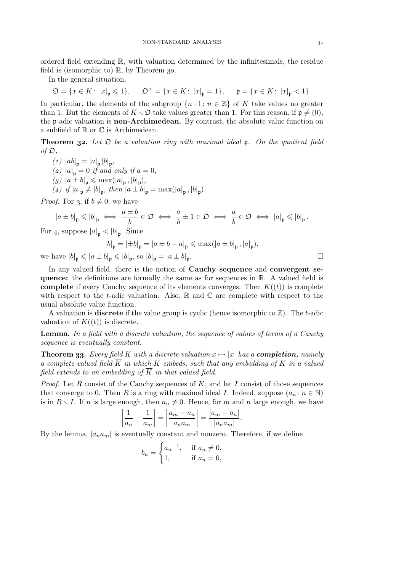ordered field extending  $\mathbb{R}$ , with valuation determined by the infinitesimals, the residue field is (isomorphic to)  $\mathbb{R}$ , by Theorem 30.

In the general situation,

$$
\mathfrak{O}=\{x\in K\colon\, |x|_{\mathfrak{p}}\leqslant 1\},\hspace{0.5cm}\mathfrak{O}^\times=\{x\in K\colon\, |x|_{\mathfrak{p}}=1\},\hspace{0.5cm}\mathfrak{p}=\{x\in K\colon\, |x|_{\mathfrak{p}}<1\}.
$$

In particular, the elements of the subgroup  $\{n \cdot 1: n \in \mathbb{Z}\}\$  of K take values no greater than 1. But the elements of  $K \setminus \mathfrak{O}$  take values greater than 1. For this reason, if  $\mathfrak{p} \neq (0)$ , the p-adic valuation is non-Archimedean. By contrast, the absolute value function on a subfield of  $\mathbb R$  or  $\mathbb C$  is Archimedean.

**Theorem 32.** Let  $\mathfrak D$  be a valuation ring with maximal ideal  $\mathfrak p$ . On the quotient field *of* O*,*

 $(1) |ab|_{\mathfrak{p}} = |a|_{\mathfrak{p}} |b|_{\mathfrak{p}},$ *(2)*  $|a|_{p} = 0$  *if and only if*  $a = 0$ *,*  $(g)$   $|a \pm b|_{\mathfrak{p}} \leq \max(|a|_{\mathfrak{p}}, |b|_{\mathfrak{p}}),$ (4) if  $|a|_{\mathfrak{p}} \neq |b|_{\mathfrak{p}}$ , then  $|a \pm b|_{\mathfrak{p}} = \max(|a|_{\mathfrak{p}}, |b|_{\mathfrak{p}})$ .

*Proof.* For 3, if  $b \neq 0$ , we have

$$
|a \pm b|_{\mathfrak{p}} \leqslant |b|_{\mathfrak{p}} \iff \frac{a \pm b}{b} \in \mathfrak{O} \iff \frac{a}{b} \pm 1 \in \mathfrak{O} \iff \frac{a}{b} \in \mathfrak{O} \iff |a|_{\mathfrak{p}} \leqslant |b|_{\mathfrak{p}}.
$$

For 4, suppose  $|a|_{\mathfrak{p}} < |b|_{\mathfrak{p}}$ . Since

$$
|b|_{\mathfrak{p}} = |\pm b|_{\mathfrak{p}} = |a \pm b - a|_{\mathfrak{p}} \leqslant \max(|a \pm b|_{\mathfrak{p}}, |a|_{\mathfrak{p}}),
$$

we have  $|b|_{\mathfrak{p}} \leqslant |a \pm b|_{\mathfrak{p}} \leqslant |b|_{\mathfrak{p}}$ , so  $|b|_{\mathfrak{p}} = |a \pm b|_{\mathfrak{p}}$ 

In any valued field, there is the notion of Cauchy sequence and convergent sequence: the definitions are formally the same as for sequences in R. A valued field is **complete** if every Cauchy sequence of its elements converges. Then  $K((t))$  is complete with respect to the t-adic valuation. Also,  $\mathbb R$  and  $\mathbb C$  are complete with respect to the usual absolute value function.

A valuation is **discrete** if the value group is cyclic (hence isomorphic to  $\mathbb{Z}$ ). The t-adic valuation of  $K((t))$  is discrete.

Lemma. *In a field with a discrete valuation, the sequence of values of terms of a Cauchy sequence is eventually constant.*

**Theorem 33.** Every field K with a discrete valuation  $x \mapsto |x|$  has a **completion**, *namely a complete valued field*  $\overline{K}$  *in which* K *embeds, such that any embedding of* K *in a valued field extends to an embedding of*  $\overline{K}$  *in that valued field.* 

*Proof.* Let R consist of the Cauchy sequences of K, and let I consist of those sequences that converge to 0. Then R is a ring with maximal ideal I. Indeed, suppose  $(a_n : n \in \mathbb{N})$ is in  $R \setminus I$ . If n is large enough, then  $a_n \neq 0$ . Hence, for m and n large enough, we have

$$
\left|\frac{1}{a_n} - \frac{1}{a_m}\right| = \left|\frac{a_m - a_n}{a_n a_m}\right| = \frac{|a_m - a_n|}{|a_n a_m|}.
$$

By the lemma,  $|a_n a_m|$  is eventually constant and nonzero. Therefore, if we define

$$
b_n = \begin{cases} a_n^{-1}, & \text{if } a_n \neq 0, \\ 1, & \text{if } a_n = 0, \end{cases}
$$

.  $\Box$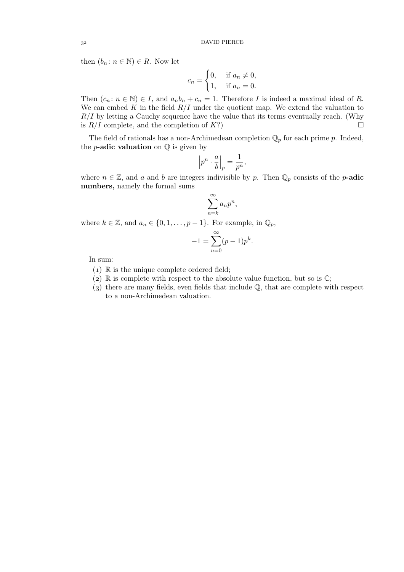then  $(b_n: n \in \mathbb{N}) \in R$ . Now let

$$
c_n = \begin{cases} 0, & \text{if } a_n \neq 0, \\ 1, & \text{if } a_n = 0. \end{cases}
$$

Then  $(c_n : n \in \mathbb{N}) \in I$ , and  $a_n b_n + c_n = 1$ . Therefore I is indeed a maximal ideal of R. We can embed K in the field  $R/I$  under the quotient map. We extend the valuation to  $R/I$  by letting a Cauchy sequence have the value that its terms eventually reach. (Why is  $R/I$  complete, and the completion of  $K$ ?)

The field of rationals has a non-Archimedean completion  $\mathbb{Q}_p$  for each prime p. Indeed, the *p***-adic valuation** on  $\mathbb Q$  is given by

$$
\left| p^n \cdot \frac{a}{b} \right|_p = \frac{1}{p^n},
$$

where  $n \in \mathbb{Z}$ , and a and b are integers indivisible by p. Then  $\mathbb{Q}_p$  consists of the p-adic numbers, namely the formal sums

$$
\sum_{n=k}^{\infty} a_n p^n,
$$

where  $k \in \mathbb{Z}$ , and  $a_n \in \{0, 1, \ldots, p-1\}$ . For example, in  $\mathbb{Q}_p$ ,

$$
-1 = \sum_{n=0}^{\infty} (p-1)p^k.
$$

In sum:

- $(1)$  R is the unique complete ordered field;
- (2)  $\mathbb R$  is complete with respect to the absolute value function, but so is  $\mathbb C$ ;
- $(3)$  there are many fields, even fields that include  $\mathbb{Q}$ , that are complete with respect to a non-Archimedean valuation.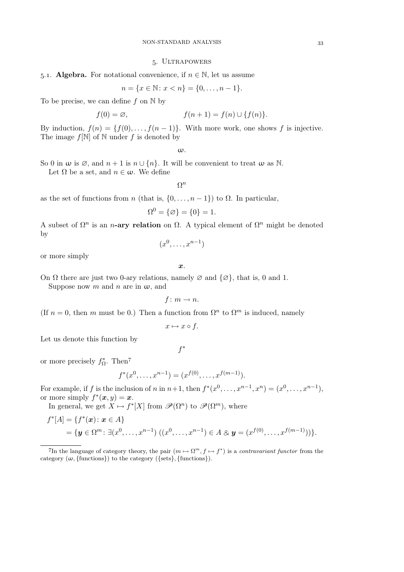#### . Ultrapowers

## 5.1. Algebra. For notational convenience, if  $n \in \mathbb{N}$ , let us assume

$$
n = \{x \in \mathbb{N} \colon x < n\} = \{0, \dots, n-1\}.
$$

To be precise, we can define f on  $\mathbb N$  by

$$
f(0) = \varnothing, \qquad f(n+1) = f(n) \cup \{f(n)\}.
$$

By induction,  $f(n) = \{f(0), \ldots, f(n-1)\}\$ . With more work, one shows f is injective. The image  $f[\mathbb{N}]$  of  $\mathbb N$  under f is denoted by

ω.

So 0 in  $\omega$  is  $\emptyset$ , and  $n+1$  is  $n \cup \{n\}$ . It will be convenient to treat  $\omega$  as N.

Let  $\Omega$  be a set, and  $n \in \omega$ . We define

 $\Omega^n$ 

as the set of functions from n (that is,  $\{0, \ldots, n-1\}$ ) to  $\Omega$ . In particular,

$$
\Omega^0 = \{\varnothing\} = \{0\} = 1.
$$

A subset of  $\Omega^n$  is an n-ary relation on  $\Omega$ . A typical element of  $\Omega^n$  might be denoted by

$$
(x^0, \ldots, x^{n-1})
$$

or more simply

x.

On  $\Omega$  there are just two 0-ary relations, namely  $\varnothing$  and  $\{\varnothing\}$ , that is, 0 and 1.

Suppose now m and n are in  $\omega$ , and

$$
f\colon m\to n.
$$

(If  $n = 0$ , then m must be 0.) Then a function from  $\Omega^n$  to  $\Omega^m$  is induced, namely

$$
x \mapsto x \circ f.
$$

Let us denote this function by

$$
f^{\ast}
$$

or more precisely  $f_{\Omega}^*$ . Then<sup>7</sup>

$$
f^*(x^0, \dots, x^{n-1}) = (x^{f(0)}, \dots, x^{f(m-1)}).
$$

For example, if f is the inclusion of n in  $n+1$ , then  $f^*(x^0, \ldots, x^{n-1}, x^n) = (x^0, \ldots, x^{n-1}),$ or more simply  $f^*(\boldsymbol{x}, y) = \boldsymbol{x}$ .

In general, we get  $X \mapsto f^*[X]$  from  $\mathscr{P}(\Omega^n)$  to  $\mathscr{P}(\Omega^m)$ , where

$$
f^*[A] = \{ f^*(x) \colon x \in A \}
$$
  
=  $\{ y \in \Omega^m \colon \exists (x^0, \dots, x^{n-1}) \ ((x^0, \dots, x^{n-1}) \in A \otimes y = (x^{f(0)}, \dots, x^{f(m-1)})) \}.$ 

The language of category theory, the pair  $(m \mapsto \Omega^m, f \mapsto f^*)$  is a *contravariant functor* from the category  $(\omega, \{\text{functions}\})$  to the category  $(\{\text{sets}\}, \{\text{functions}\}).$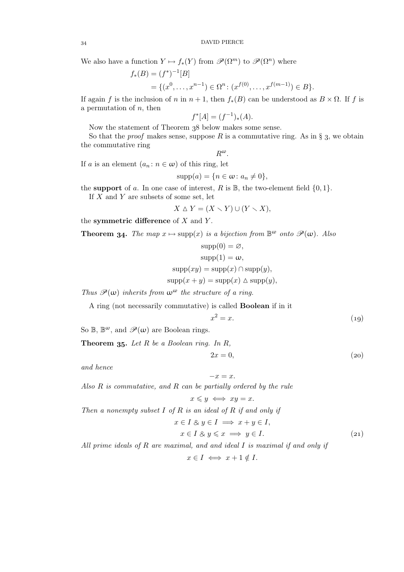We also have a function  $Y \mapsto f_*(Y)$  from  $\mathscr{P}(\Omega^m)$  to  $\mathscr{P}(\Omega^n)$  where

$$
f_*(B) = (f^*)^{-1}[B]
$$
  
= { $(x^0, ..., x^{n-1}) \in \Omega^n$ :  $(x^{f(0)}, ..., x^{f(m-1)}) \in B$  }.

If again f is the inclusion of n in  $n + 1$ , then  $f_*(B)$  can be understood as  $B \times \Omega$ . If f is a permutation of  $n$ , then

$$
f^*[A] = (f^{-1})_*(A).
$$

Now the statement of Theorem 38 below makes some sense.

So that the *proof* makes sense, suppose  $R$  is a commutative ring. As in  $\S$  3, we obtain the commutative ring

 $R^{\omega}$ .

If a is an element  $(a_n : n \in \omega)$  of this ring, let

$$
supp(a) = \{n \in \omega : a_n \neq 0\},\
$$

the support of a. In one case of interest, R is  $\mathbb{B}$ , the two-element field  $\{0, 1\}$ .

If  $X$  and  $Y$  are subsets of some set, let

$$
X \triangle Y = (X \setminus Y) \cup (Y \setminus X),
$$

the symmetric difference of  $X$  and  $Y$ .

**Theorem 34.** The map  $x \mapsto \text{supp}(x)$  is a bijection from  $\mathbb{B}^{\omega}$  onto  $\mathscr{P}(\omega)$ . Also

$$
supp(0) = \varnothing,
$$
  
\n
$$
supp(1) = \omega,
$$
  
\n
$$
supp(xy) = supp(x) \cap supp(y),
$$
  
\n
$$
supp(x + y) = supp(x) \triangle supp(y),
$$

*Thus*  $\mathcal{P}(\omega)$  *inherits from*  $\omega^{\omega}$  *the structure of a ring.* 

A ring (not necessarily commutative) is called Boolean if in it

$$
x^2 = x.\t(19)
$$

So  $\mathbb{B}, \mathbb{B}^{\omega}$ , and  $\mathscr{P}(\omega)$  are Boolean rings.

Theorem 35. Let R be a Boolean ring. In R,

$$
2x = 0,\t(20)
$$

*and hence*

$$
-x=x.
$$

*Also* R *is commutative, and* R *can be partially ordered by the rule*

$$
x \leq y \iff xy = x.
$$

*Then a nonempty subset* I *of* R *is an ideal of* R *if and only if*

$$
x \in I \otimes y \in I \implies x + y \in I,
$$
  
\n
$$
x \in I \otimes y \leq x \implies y \in I.
$$
\n(21)

*All prime ideals of* R *are maximal, and and ideal* I *is maximal if and only if*

 $x \in I \iff x + 1 \notin I$ .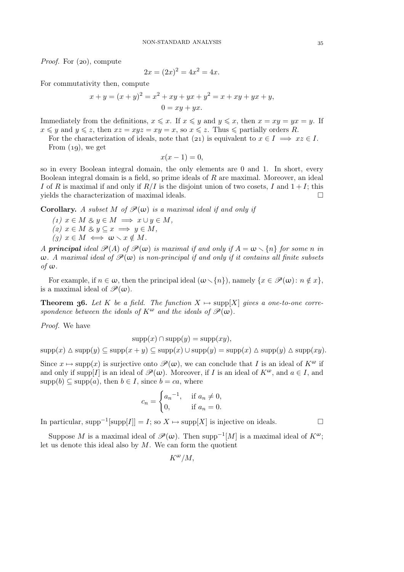*Proof.* For (20), compute

$$
2x = (2x)^2 = 4x^2 = 4x.
$$

For commutativity then, compute

$$
x + y = (x + y)^2 = x^2 + xy + yx + y^2 = x + xy + yx + y,
$$
  

$$
0 = xy + yx.
$$

Immediately from the definitions,  $x \leq x$ . If  $x \leq y$  and  $y \leq x$ , then  $x = xy = yx = y$ . If  $x \leq y$  and  $y \leq z$ , then  $xz = xyz = xy = x$ , so  $x \leq z$ . Thus  $\leq$  partially orders R.

For the characterization of ideals, note that (21) is equivalent to  $x \in I \implies xz \in I$ . From  $(19)$ , we get

$$
x(x-1)=0,
$$

so in every Boolean integral domain, the only elements are 0 and 1. In short, every Boolean integral domain is a field, so prime ideals of  $R$  are maximal. Moreover, an ideal I of R is maximal if and only if  $R/I$  is the disjoint union of two cosets, I and  $1+I$ ; this yields the characterization of maximal ideals.  $\Box$ 

**Corollary.** *A subset*  $M$  *of*  $\mathcal{P}(\omega)$  *is a maximal ideal if and only if* 

 $(1)$   $x \in M \& y \in M \implies x \cup y \in M$ ,  $(z)$   $x \in M$  &  $y \subseteq x \implies y \in M$ ,  $(g)$   $x \in M \iff \omega \setminus x \notin M$ .

*A* principal ideal  $\mathcal{P}(A)$  of  $\mathcal{P}(\omega)$  is maximal if and only if  $A = \omega \setminus \{n\}$  for some n in  $\omega$ . A maximal ideal of  $\mathcal{P}(\omega)$  is non-principal if and only if it contains all finite subsets *of* ω*.*

For example, if  $n \in \omega$ , then the principal ideal  $(\omega \setminus \{n\})$ , namely  $\{x \in \mathscr{P}(\omega): n \notin x\}$ , is a maximal ideal of  $\mathscr{P}(\omega)$ .

**Theorem 36.** Let K be a field. The function  $X \mapsto \text{supp}[X]$  gives a one-to-one corre*spondence between the ideals of*  $K^{\omega}$  *and the ideals of*  $\mathscr{P}(\omega)$ *.* 

*Proof.* We have

$$
supp(x) \cap supp(y) = supp(xy),
$$

 $\text{supp}(x) \Delta \text{supp}(y) \subseteq \text{supp}(x + y) \subseteq \text{supp}(x) \cup \text{supp}(y) = \text{supp}(x) \Delta \text{supp}(y) \Delta \text{supp}(xy).$ 

Since  $x \mapsto \text{supp}(x)$  is surjective onto  $\mathscr{P}(\omega)$ , we can conclude that I is an ideal of  $K^{\omega}$  if and only if supp[I] is an ideal of  $\mathscr{P}(\omega)$ . Moreover, if I is an ideal of  $K^{\omega}$ , and  $a \in I$ , and  $supp(b) \subseteq supp(a)$ , then  $b \in I$ , since  $b = ca$ , where

$$
c_n = \begin{cases} a_n^{-1}, & \text{if } a_n \neq 0, \\ 0, & \text{if } a_n = 0. \end{cases}
$$

In particular, supp<sup>-1</sup>[supp[*I*]] = *I*; so *X* → supp[*X*] is injective on ideals.  $\Box$ 

Suppose M is a maximal ideal of  $\mathscr{P}(\omega)$ . Then supp<sup>-1</sup>[M] is a maximal ideal of  $K^{\omega}$ ; let us denote this ideal also by  $M$ . We can form the quotient

$$
K^{\omega}/M,
$$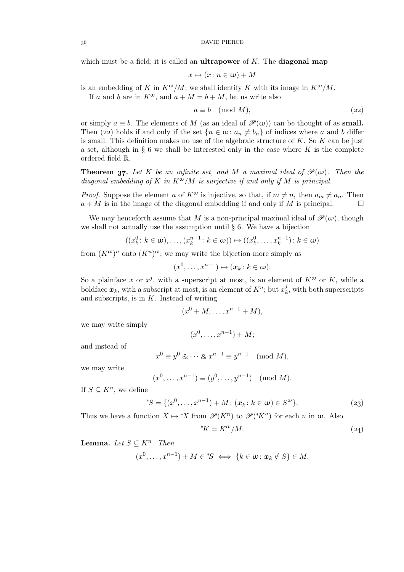DAVID PIERCE

which must be a field; it is called an **ultrapower** of  $K$ . The **diagonal map** 

$$
x\mapsto (x\colon n\in\omega)+M
$$

is an embedding of K in  $K^{\omega}/M$ ; we shall identify K with its image in  $K^{\omega}/M$ .

If a and b are in  $K^{\omega}$ , and  $a + M = b + M$ , let us write also

$$
a \equiv b \pmod{M},\tag{22}
$$

or simply  $a \equiv b$ . The elements of M (as an ideal of  $\mathcal{P}(\omega)$ ) can be thought of as **small.** Then (22) holds if and only if the set  ${n \in \omega \colon a_n \neq b_n}$  of indices where a and b differ is small. This definition makes no use of the algebraic structure of  $K$ . So  $K$  can be just a set, although in  $\S 6$  we shall be interested only in the case where K is the complete ordered field R.

**Theorem 37.** Let K be an infinite set, and M a maximal ideal of  $\mathcal{P}(\omega)$ . Then the *diagonal embedding of* K *in* Kω/M *is surjective if and only if* M *is principal.*

*Proof.* Suppose the element a of  $K^{\omega}$  is injective, so that, if  $m \neq n$ , then  $a_m \neq a_n$ . Then  $a + M$  is in the image of the diagonal embedding if and only if M is principal.

We may henceforth assume that M is a non-principal maximal ideal of  $\mathscr{P}(\omega)$ , though we shall not actually use the assumption until  $\S 6$ . We have a bijection

$$
((x_k^0: k \in \omega), \ldots, (x_k^{n-1}: k \in \omega)) \mapsto ((x_k^0, \ldots, x_k^{n-1}): k \in \omega)
$$

from  $(K^{\omega})^n$  onto  $(K^n)^{\omega}$ ; we may write the bijection more simply as

$$
(x^0, \ldots, x^{n-1}) \mapsto (\boldsymbol{x}_k \colon k \in \boldsymbol{\omega}).
$$

So a plainface x or  $x^j$ , with a superscript at most, is an element of  $K^{\omega}$  or K, while a boldface  $x_k$ , with a subscript at most, is an element of  $K^n$ ; but  $x_k^j$  $\mathbf{R}_k^j$ , with both superscripts and subscripts, is in  $K$ . Instead of writing

$$
(x0 + M, \dots, xn-1 + M),
$$

we may write simply

$$
(x^0, \ldots, x^{n-1}) + M;
$$

and instead of

$$
x^0 \equiv y^0 \otimes \cdots \otimes x^{n-1} \equiv y^{n-1} \pmod{M},
$$

we may write

$$
(x^0, ..., x^{n-1}) \equiv (y^0, ..., y^{n-1}) \pmod{M}
$$
.

If  $S \subseteq K^n$ , we define

<sup>\*</sup>
$$
S = \{(x^0, ..., x^{n-1}) + M : (\mathbf{x}_k : k \in \mathbf{\omega}) \in S^{\mathbf{\omega}}\}.
$$
 (23)

Thus we have a function  $X \mapsto {}^*X$  from  $\mathscr{P}(K^n)$  to  $\mathscr{P}({}^*K^n)$  for each n in  $\omega$ . Also

$$
^{\ast}K = K^{\omega}/M. \tag{24}
$$

**Lemma.** Let  $S \subseteq K^n$ . Then 0

$$
(x^0, \ldots, x^{n-1}) + M \in {}^*S \iff \{k \in \omega \colon x_k \notin S\} \in M.
$$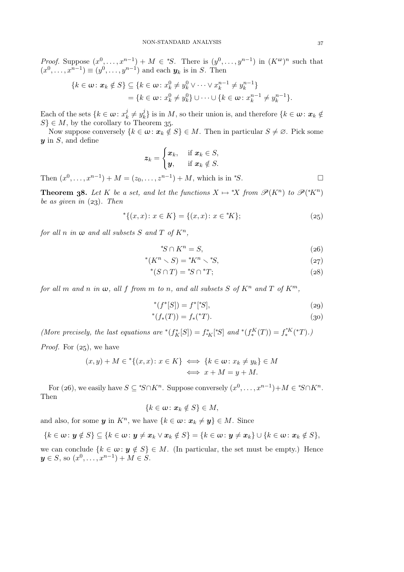*Proof.* Suppose  $(x^0, \ldots, x^{n-1}) + M \in {}^*S$ . There is  $(y^0, \ldots, y^{n-1})$  in  $(K^{\omega})^n$  such that  $(x^0, ..., x^{n-1}) \equiv (y^0, ..., y^{n-1})$  and each  $y_k$  is in S. Then

$$
\{k \in \omega : \mathbf{x}_k \notin S\} \subseteq \{k \in \omega : x_k^0 \neq y_k^0 \vee \cdots \vee x_k^{n-1} \neq y_k^{n-1}\}\
$$

$$
= \{k \in \omega : x_k^0 \neq y_k^0\} \cup \cdots \cup \{k \in \omega : x_k^{n-1} \neq y_k^{n-1}\}.
$$

Each of the sets  $\{k \in \omega : x_k^j\}$  $\boldsymbol{y}_k^j \neq y_k^j$  $\mathcal{L}_k^j$  is in  $M$ , so their union is, and therefore  $\{k \in \omega : \mathbf{x}_k \notin \mathcal{L}_k\}$  $S \in M$ , by the corollary to Theorem 35.

Now suppose conversely  $\{k \in \omega : x_k \notin S\} \in M$ . Then in particular  $S \neq \emptyset$ . Pick some  $y$  in  $S$ , and define

$$
\boldsymbol{z}_k = \begin{cases} \boldsymbol{x}_k, & \text{if } \boldsymbol{x}_k \in S, \\ \boldsymbol{y}, & \text{if } \boldsymbol{x}_k \notin S. \end{cases}
$$

Then  $(x^0, ..., x^{n-1}) + M = (z_0, ..., z^{n-1}) + M$ , which is in *\*S*.

**Theorem 38.** Let K be a set, and let the functions  $X \mapsto {}^*X$  from  $\mathscr{P}(K^n)$  to  $\mathscr{P}({}^*K^n)$ *be as given in* (23). Then

$$
{}^{*}\{(x,x):x\in K\} = \{(x,x):x\in{}^{*}\!K\};\tag{25}
$$

*for all n in*  $\omega$  *and all subsets*  $S$  *and*  $T$  *of*  $K^n$ ,

$$
^*S \cap K^n = S. \tag{26}
$$

$$
^*S \cap K^n = S,
$$
  
\n
$$
^*(K^n \setminus S) = ^*K^n \setminus ^*S,
$$
  
\n
$$
(27)
$$

$$
^*(S \cap T) = ^*S \cap ^*T;
$$
\n(28)

*for all* m *and* n *in*  $\omega$ *, all* f *from* m *to* n*,* and all subsets S of  $K^n$  and T of  $K^m$ *,* 

$$
^*(f^*[S]) = f^*[^*S],\tag{29}
$$

$$
^*(f_*(T)) = f_*(^*T). \tag{30}
$$

 ${y_k} \in M$ 

*(More precisely, the last equations are*  $*(f^*_K[S]) = f^*_{*K}[^*S]$  *and*  $*(f^K_*(T)) = f^*_*(T)$ .) *Proof.* For  $(z_5)$ , we have

$$
(x, y) + M \in \{ (x, x) \colon x \in K \} \iff \{ k \in \omega \colon x_k \neq y_k \} \iff x + M = y + M.
$$

For (26), we easily have  $S \subseteq {}^*S \cap K^n$ . Suppose conversely  $(x^0, \ldots, x^{n-1}) + M \in {}^*S \cap K^n$ . Then

$$
\{k\in\omega\colon \boldsymbol{x}_k\notin S\}\in M,
$$

and also, for some  $y$  in  $K<sup>n</sup>$ , we have  $\{k \in \omega : x_k \neq y\} \in M$ . Since

$$
\{k \in \omega : \mathbf{y} \notin S\} \subseteq \{k \in \omega : \mathbf{y} \neq \mathbf{x}_k \vee \mathbf{x}_k \notin S\} = \{k \in \omega : \mathbf{y} \neq \mathbf{x}_k\} \cup \{k \in \omega : \mathbf{x}_k \notin S\},\
$$

we can conclude  $\{k \in \omega : y \notin S\} \in M$ . (In particular, the set must be empty.) Hence  $y \in S$ , so  $(x^0, \ldots, x^{n-1}) + M \in S$ .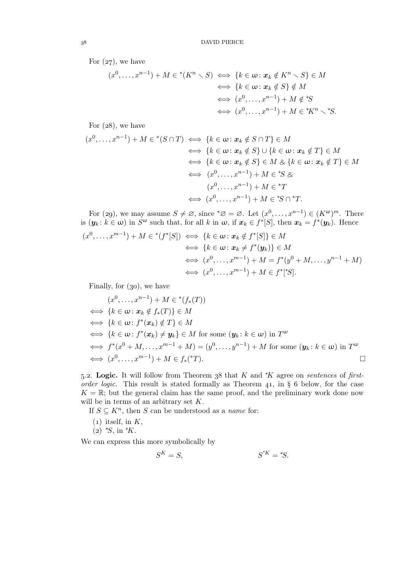For  $(27)$ , we have

$$
(x^{0},...,x^{n-1}) + M \in {}^{*}(K^{n} \setminus S) \iff \{k \in \omega : x_{k} \notin K^{n} \setminus S\} \in M
$$
  

$$
\iff \{k \in \omega : x_{k} \notin S\} \notin M
$$
  

$$
\iff (x^{0},...,x^{n-1}) + M \notin {}^{*}S
$$
  

$$
\iff (x^{0},...,x^{n-1}) + M \in {}^{*}K^{n} \setminus {}^{*}S.
$$

For  $(28)$ , we have

$$
(x^{0},...,x^{n-1}) + M \in {}^{*}(S \cap T) \iff \{k \in \omega : x_{k} \notin S \cap T\} \in M
$$
  

$$
\iff \{k \in \omega : x_{k} \notin S\} \cup \{k \in \omega : x_{k} \notin T\} \in M
$$
  

$$
\iff \{k \in \omega : x_{k} \notin S\} \in M \otimes \{k \in \omega : x_{k} \notin T\} \in M
$$
  

$$
\iff (x^{0},...,x^{n-1}) + M \in {}^{*}S \otimes
$$
  

$$
(x^{0},...,x^{n-1}) + M \in {}^{*}T
$$
  

$$
\iff (x^{0},...,x^{n-1}) + M \in {}^{*}S \cap {}^{*}T.
$$

For (29), we may assume  $S \neq \emptyset$ , since  $^*\emptyset = \emptyset$ . Let  $(x^0, \ldots, x^{n-1}) \in (K^{\omega})^m$ . There is  $(\mathbf{y}_k : k \in \omega)$  in  $S^{\omega}$  such that, for all k in  $\omega$ , if  $\mathbf{x}_k \in f^*[S]$ , then  $\mathbf{x}_k = f^*(\mathbf{y}_k)$ . Hence  $(x^0, ..., x^{m-1}) + M \in {}^{*}(f^*[S]) \iff \{k \in \omega : x_k \notin f^*[S] \} \in M$ 

$$
\iff \{k \in \omega : x_k \neq f^*(y_k)\} \in M
$$
  
\n
$$
\iff (x^0, \dots, x^{m-1}) + M = f^*(y^0 + M, \dots, y^{n-1} + M)
$$
  
\n
$$
\iff (x^0, \dots, x^{m-1}) + M \in f^*[S].
$$

Finally, for  $(30)$ , we have

$$
(x^{0},...,x^{n-1}) + M \in {}^{*}(f_{*}(T))
$$
  
\n
$$
\iff \{k \in \omega : x_{k} \notin f_{*}(T)\} \in M
$$
  
\n
$$
\iff \{k \in \omega : f^{*}(x_{k}) \notin T\} \in M
$$
  
\n
$$
\iff \{k \in \omega : f^{*}(x_{k}) \neq y_{k}\} \in M \text{ for some } (y_{k}:k \in \omega) \text{ in } T^{\omega}
$$
  
\n
$$
\iff f^{*}(x^{0} + M,...,x^{m-1} + M) = (y^{0},...,y^{n-1}) + M \text{ for some } (y_{k}:k \in \omega) \text{ in } T^{\omega}
$$
  
\n
$$
\iff (x^{0},...,x^{m-1}) + M \in f_{*}({}^{*}T).
$$

5.2. Logic. It will follow from Theorem 38 that K and <sup>\*</sup>K agree on *sentences* of *firstorder logic.* This result is stated formally as Theorem  $41$ , in § 6 below, for the case  $K = \mathbb{R}$ ; but the general claim has the same proof, and the preliminary work done now will be in terms of an arbitrary set K.

If  $S \subseteq K^n$ , then S can be understood as a *name* for:

- $(1)$  itself, in K,
- $(z)$  \*S, in \*K.

We can express this more symbolically by

$$
S^K = S, \qquad S^{*K} = {}^*S.
$$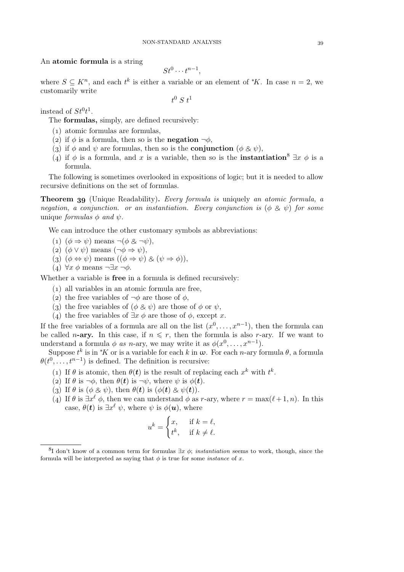### An atomic formula is a string

$$
St^0\cdots t^{n-1},
$$

where  $S \subseteq K^n$ , and each  $t^k$  is either a variable or an element of  $*K$ . In case  $n = 2$ , we customarily write

 $t^0$  S  $t^1$ 

instead of  $St^0t^1$ .

The formulas, simply, are defined recursively:

- () atomic formulas are formulas,
- (2) if  $\phi$  is a formula, then so is the **negation**  $\neg \phi$ ,
- (3) if  $\phi$  and  $\psi$  are formulas, then so is the **conjunction** ( $\phi \otimes \psi$ ),
- (4) if  $\phi$  is a formula, and x is a variable, then so is the **instantiation**<sup>8</sup>  $\exists x \phi$  is a formula.

The following is sometimes overlooked in expositions of logic; but it is needed to allow recursive definitions on the set of formulas.

Theorem (Unique Readability). *Every formula is* uniquely *an atomic formula, a negation, a conjunction. or an instantiation. Every conjunction is*  $(\phi \& \psi)$  *for some* unique *formulas*  $\phi$  *and*  $\psi$ .

We can introduce the other customary symbols as abbreviations:

- (1)  $(\phi \Rightarrow \psi)$  means  $\neg(\phi \& \neg \psi)$ ,
- (2)  $(\phi \vee \psi)$  means  $(\neg \phi \Rightarrow \psi)$ ,
- (3)  $(\phi \Leftrightarrow \psi)$  means  $((\phi \Rightarrow \psi) \& (\psi \Rightarrow \phi)),$
- (4)  $\forall x \phi$  means  $\neg \exists x \neg \phi$ .

Whether a variable is free in a formula is defined recursively:

- () all variables in an atomic formula are free,
- (2) the free variables of  $\neg \phi$  are those of  $\phi$ ,
- (3) the free variables of  $(\phi \otimes \psi)$  are those of  $\phi$  or  $\psi$ ,
- (4) the free variables of  $\exists x \phi$  are those of  $\phi$ , except x.

If the free variables of a formula are all on the list  $(x^0, \ldots, x^{n-1})$ , then the formula can be called *n*-ary. In this case, if  $n \leq r$ , then the formula is also *r*-ary. If we want to understand a formula  $\phi$  *as n*-ary, we may write it as  $\phi(x^0, \ldots, x^{n-1})$ .

Suppose  $t^k$  is in  $*K$  or is a variable for each k in  $\omega$ . For each n-ary formula  $\theta$ , a formula  $\theta(t^0, \ldots, t^{n-1})$  is defined. The definition is recursive:

- (1) If  $\theta$  is atomic, then  $\theta(t)$  is the result of replacing each  $x^k$  with  $t^k$ .
- (2) If  $\theta$  is  $\neg \phi$ , then  $\theta(t)$  is  $\neg \psi$ , where  $\psi$  is  $\phi(t)$ .
- (3) If  $\theta$  is  $(\phi \otimes \psi)$ , then  $\theta(t)$  is  $(\phi(t) \otimes \psi(t))$ .
- (4) If  $\theta$  is  $\exists x^{\ell} \phi$ , then we can understand  $\phi$  as r-ary, where  $r = \max(\ell+1, n)$ . In this case,  $\theta(t)$  is  $\exists x^{\ell} \psi$ , where  $\psi$  is  $\phi(u)$ , where

$$
u^k = \begin{cases} x, & \text{if } k = \ell, \\ t^k, & \text{if } k \neq \ell. \end{cases}
$$

<sup>&</sup>lt;sup>8</sup>I don't know of a common term for formulas  $\exists x \phi$ ; *instantiation* seems to work, though, since the formula will be interpreted as saying that  $\phi$  is true for some *instance* of x.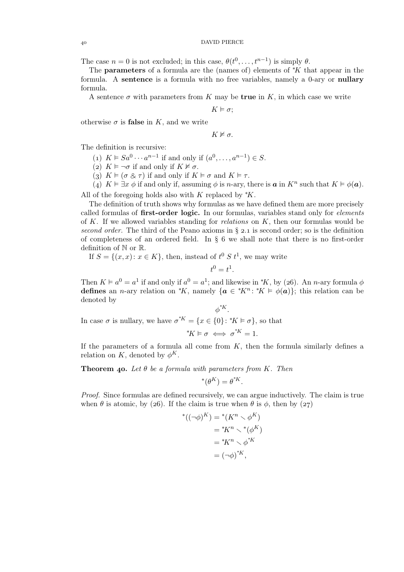The case  $n = 0$  is not excluded; in this case,  $\theta(t^0, \ldots, t^{n-1})$  is simply  $\theta$ .

The **parameters** of a formula are the (names of) elements of  $*K$  that appear in the formula. A **sentence** is a formula with no free variables, namely a 0-ary or **nullary** formula.

A sentence  $\sigma$  with parameters from K may be **true** in K, in which case we write

 $K \models \sigma$ ;

otherwise  $\sigma$  is **false** in K, and we write

$$
K \nvDash \sigma.
$$

The definition is recursive:

(1)  $K \models Sa^0 \cdots a^{n-1}$  if and only if  $(a^0, \ldots, a^{n-1}) \in S$ .

(2)  $K \models \neg \sigma$  if and only if  $K \not\models \sigma$ .

(3)  $K \models (\sigma \& \tau)$  if and only if  $K \models \sigma$  and  $K \models \tau$ .

(4)  $K \vDash \exists x \phi$  if and only if, assuming  $\phi$  is *n*-ary, there is **a** in  $K^n$  such that  $K \vDash \phi(\mathbf{a})$ .

All of the foregoing holds also with K replaced by  $*K$ .

The definition of truth shows why formulas as we have defined them are more precisely called formulas of first-order logic. In our formulas, variables stand only for *elements* of K. If we allowed variables standing for *relations* on K, then our formulas would be *second order.* The third of the Peano axioms in  $\S$  2.1 is second order; so is the definition of completeness of an ordered field. In  $\S 6$  we shall note that there is no first-order definition of N or R.

If  $S = \{(x, x): x \in K\}$ , then, instead of  $t^0 S t^1$ , we may write

$$
t^0=t^1.
$$

Then  $K \vDash a^0 = a^1$  if and only if  $a^0 = a^1$ ; and likewise in  $*K$ , by (26). An *n*-ary formula  $\phi$ defines an *n*-ary relation on \*K, namely  $\{a \in {}^*K^n : {}^*K \models \phi(a)\}$ ; this relation can be denoted by

 $\phi^{*K}$ . In case  $\sigma$  is nullary, we have  $\sigma^{*K} = \{x \in \{0\} : {}^*K \vDash \sigma\}$ , so that

$$
^*K \vDash \sigma \iff \sigma^{^*K} = 1.
$$

If the parameters of a formula all come from  $K$ , then the formula similarly defines a relation on K, denoted by  $\phi^K$ .

**Theorem 40.** Let  $\theta$  be a formula with parameters from K. Then

$$
^{\ast}(\theta^{K})=\theta^{^{\ast}K}.
$$

*Proof.* Since formulas are defined recursively, we can argue inductively. The claim is true when  $\theta$  is atomic, by (26). If the claim is true when  $\theta$  is  $\phi$ , then by (27)

$$
*( (\neg \phi)^K ) = ^*(K^n \setminus \phi^K)
$$
  
=  $^*K^n \setminus ^*(\phi^K)$   
=  $^*K^n \setminus \phi^{*K}$   
=  $(\neg \phi)^{*K}$ ,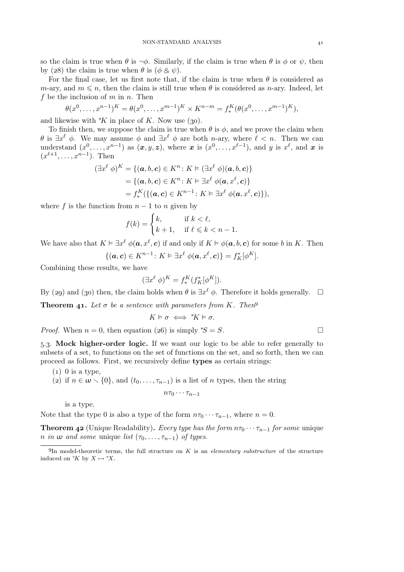so the claim is true when  $\theta$  is  $\neg \phi$ . Similarly, if the claim is true when  $\theta$  is  $\phi$  or  $\psi$ , then by (28) the claim is true when  $\theta$  is ( $\phi \otimes \psi$ ).

For the final case, let us first note that, if the claim is true when  $\theta$  is considered as m-ary, and  $m \leq n$ , then the claim is still true when  $\theta$  is considered as n-ary. Indeed, let f be the inclusion of  $m$  in  $n$ . Then

$$
\theta(x^0, \dots, x^{n-1})^K = \theta(x^0, \dots, x^{m-1})^K \times K^{n-m} = f_*^K(\theta(x^0, \dots, x^{m-1})^K),
$$

and likewise with  $*K$  in place of K. Now use (30).

To finish then, we suppose the claim is true when  $\theta$  is  $\phi$ , and we prove the claim when  $\theta$  is  $\exists x^{\ell} \phi$ . We may assume  $\phi$  and  $\exists x^{\ell} \phi$  are both *n*-ary, where  $\ell < n$ . Then we can understand  $(x^0, \ldots, x^{n-1})$  as  $(x, y, z)$ , where x is  $(x^0, \ldots, x^{\ell-1})$ , and y is  $x^{\ell}$ , and x is  $(x^{\ell+1},...,x^{n-1})$ . Then

$$
(\exists x^{\ell} \phi)^{K} = \{(\mathbf{a}, b, \mathbf{c}) \in K^{n} : K \vDash (\exists x^{\ell} \phi)(\mathbf{a}, b, \mathbf{c})\}
$$
  
=  $\{(\mathbf{a}, b, \mathbf{c}) \in K^{n} : K \vDash \exists x^{\ell} \phi(\mathbf{a}, x^{\ell}, \mathbf{c})\}$   
=  $f_{*}^{K}(\{(\mathbf{a}, \mathbf{c}) \in K^{n-1} : K \vDash \exists x^{\ell} \phi(\mathbf{a}, x^{\ell}, \mathbf{c})\}),$ 

where f is the function from  $n - 1$  to n given by

$$
f(k) = \begin{cases} k, & \text{if } k < \ell, \\ k+1, & \text{if } \ell \leq k < n-1. \end{cases}
$$

We have also that  $K \vDash \exists x^{\ell} \phi(a, x^{\ell}, c)$  if and only if  $K \vDash \phi(a, b, c)$  for some b in K. Then

$$
\{(\mathbf{a},\mathbf{c})\in K^{n-1}\colon K\vDash \exists x^{\ell}\ \phi(\mathbf{a},x^{\ell},\mathbf{c})\}=f_K^*[\phi^K].
$$

Combining these results, we have

$$
(\exists x^{\ell} \phi)^{K} = f_{*}^{K}(f_{K}^{*}[\phi^{K}]).
$$

By (29) and (30) then, the claim holds when  $\theta$  is  $\exists x^{\ell} \phi$ . Therefore it holds generally.  $\Box$ 

**Theorem 41.** Let  $\sigma$  be a sentence with parameters from K. Then<sup>9</sup>

$$
K \vDash \sigma \iff {}^*K \vDash \sigma.
$$

*Proof.* When  $n = 0$ , then equation (26) is simply <sup>\*</sup>S = S.

.. Mock higher-order logic. If we want our logic to be able to refer generally to subsets of a set, to functions on the set of functions on the set, and so forth, then we can proceed as follows. First, we recursively define types as certain strings:

- $(1)$  0 is a type.
- (2) if  $n \in \omega \setminus \{0\}$ , and  $(t_0, \ldots, \tau_{n-1})$  is a list of n types, then the string

$$
n\tau_0\cdots\tau_{n-1}
$$

is a type.

Note that the type 0 is also a type of the form  $n\tau_0 \cdots \tau_{n-1}$ , where  $n = 0$ .

**Theorem 42** (Unique Readability). *Every type has the form*  $n\tau_0 \cdots \tau_{n-1}$  *for some* unique *n in*  $\omega$  *and some* unique *list* ( $\tau_0, \ldots, \tau_{n-1}$ ) *of types.* 

In model-theoretic terms, the full structure on K is an *elementary substructure* of the structure induced on  $*K$  by  $X \mapsto *X$ .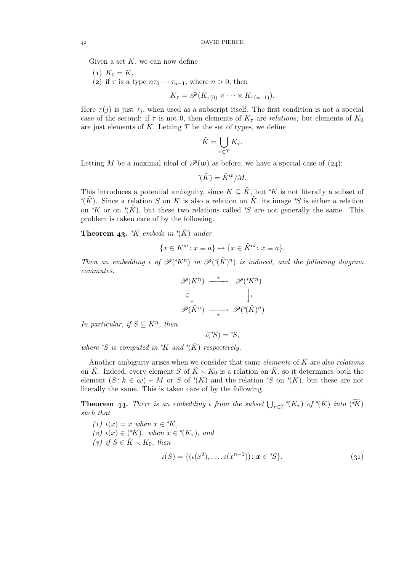Given a set  $K$ , we can now define

$$
(1) K_0=K,
$$

(2) if  $\tau$  is a type  $n\tau_0 \cdots \tau_{n-1}$ , where  $n > 0$ , then

$$
K_{\tau} = \mathscr{P}(K_{\tau(0)} \times \cdots \times K_{\tau(n-1)}).
$$

Here  $\tau(j)$  is just  $\tau_j$ , when used as a subscript itself. The first condition is not a special case of the second: if  $\tau$  is not 0, then elements of  $K_{\tau}$  are *relations*; but elements of  $K_0$ are just elements of  $K$ . Letting  $T$  be the set of types, we define

$$
\tilde{K} = \bigcup_{\tau \in T} K_{\tau}.
$$

Letting M be a maximal ideal of  $\mathcal{P}(\omega)$  as before, we have a special case of (24):

 ${}^{\ast}(\tilde{K}) = \tilde{K}^{\omega}/M.$ 

This introduces a potential ambiguity, since  $K \subseteq \tilde{K}$ , but \*K is not literally a subset of \* $(\tilde{K})$ . Since a relation S on K is also a relation on  $\tilde{K}$ , its image \*S is either a relation on <sup>\*</sup>K or on <sup>\*</sup>( $\tilde{K}$ ), but these two relations called <sup>\*S</sup> are not generally the same. This problem is taken care of by the following.

**Theorem 43.**  $*K$  embeds in  $*({\tilde K})$  under

$$
\{x \in K^{\omega} \colon x \equiv a\} \mapsto \{x \in \tilde{K}^{\omega} \colon x \equiv a\}.
$$

*Then an embedding i* of  $\mathscr{P}({^*\tilde{K}})^n$  *in*  $\mathscr{P}({^*\tilde{K}})^n$  *is induced, and the following diagram commutes.*

$$
\mathscr{P}(K^n) \xrightarrow{\ast} \mathscr{P}({^*\!K}^n)
$$
  
\n
$$
\subseteq \bigcup_{\ast} \qquad \qquad \bigcup_{i} i
$$
  
\n
$$
\mathscr{P}(\tilde{K}^n) \longrightarrow \mathscr{P}({^*\!(\tilde{K})}^n)
$$

*In particular, if*  $S \subseteq K^n$ *, then* 

 $i({}^*\!S) = {}^*\!S,$ 

*where*  $*S$  *is computed in*  $*K$  *and*  $*(\tilde{K})$  *respectively.* 

Another ambiguity arises when we consider that some *elements* of  $\tilde{K}$  are also *relations* on  $\tilde{K}$ . Indeed, every element S of  $\tilde{K} \setminus K_0$  is a relation on  $\tilde{K}$ , so it determines both the element  $(S: k \in \omega) + M$  or S of  $^*(\tilde{K})$  and the relation \*S on  $^*(\tilde{K})$ , but these are not literally the same. This is taken care of by the following.

**Theorem 44.** There is an embedding *ι* from the subset  $\bigcup_{\tau \in T} * (K_{\tau})$  of  $*(\tilde{K})$  into  $(\widetilde{*K})$ *such that*

\n- (1) 
$$
\iota(x) = x
$$
 when  $x \in {}^*\!K$ ,
\n- (2)  $\iota(x) \in ({}^*\!K)_\tau$  when  $x \in {}^*\!({K}_\tau)$ , and
\n- (3) if  $S \in \tilde{K} \setminus K_0$ , then
\n- $\iota(S) = \{(\iota(x^0), \ldots, \iota(x^{n-1})) : \mathbf{x} \in {}^*\!S\}.$
\n
\n(31)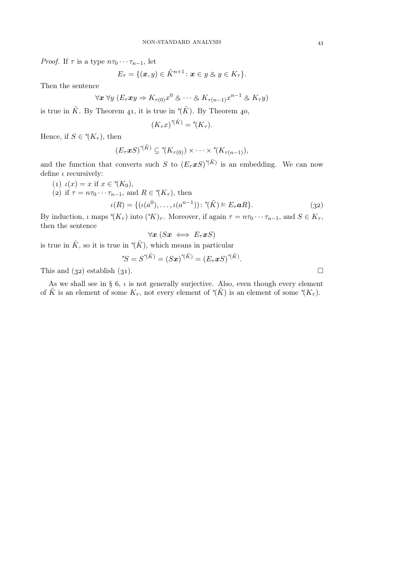*Proof.* If  $\tau$  is a type  $n\tau_0 \cdots \tau_{n-1}$ , let

$$
E_{\tau} = \{(\boldsymbol{x},y) \in \tilde{K}^{n+1} \colon \boldsymbol{x} \in y \otimes y \in K_{\tau}\}.
$$

Then the sentence

$$
\forall x \ \forall y \ (E_{\tau}xy \Rightarrow K_{\tau(0)}x^0 \otimes \cdots \otimes K_{\tau(n-1)}x^{n-1} \otimes K_{\tau}y)
$$

is true in  $\tilde{K}$ . By Theorem 41, it is true in  $^*(\tilde{K})$ . By Theorem 40,

$$
(K_{\tau}x)^{*(\tilde{K})} = ^{*}(K_{\tau}).
$$

Hence, if  $S \in {}^*\!(K_\tau)$ , then

$$
(E_{\tau} \mathbf{x} S)^{*(\tilde{K})} \subseteq {}^* (K_{\tau(0)}) \times \cdots \times {}^* (K_{\tau(n-1)}),
$$

and the function that converts such S to  $(E_{\tau} \mathcal{X} S)^{*(\tilde{K})}$  is an embedding. We can now define  $\iota$  recursively:

- (1)  $\iota(x) = x$  if  $x \in {}^*(K_0)$ ,
- (2) if  $\tau = n\tau_0 \cdots \tau_{n-1}$ , and  $R \in {}^{\ast}(K_{\tau})$ , then

$$
\iota(R) = \{ (\iota(a^0), \dots, \iota(a^{n-1})) \colon \, ^{*}(\tilde{K}) \vDash E_{\tau} \mathbf{a}R \}. \tag{32}
$$

By induction,  $\iota$  maps  $^*(K_{\tau})$  into  $(^*K)_{\tau}$ . Moreover, if again  $\tau = n\tau_0 \cdots \tau_{n-1}$ , and  $S \in K_{\tau}$ , then the sentence

$$
\forall x\ (Sx \iff E_{\tau}xS)
$$

is true in  $\tilde{K}$ , so it is true in  $^*(\tilde{K})$ , which means in particular

$$
^*\!S = S^{*(\tilde{K})} = (S\boldsymbol{x})^{*(\tilde{K})} = (E_{\tau}\boldsymbol{x} S)^{*(\tilde{K})}.
$$

This and  $(32)$  establish  $(31)$ .

As we shall see in § 6,  $\iota$  is not generally surjective. Also, even though every element of  $\tilde{K}$  is an element of some  $K_{\tau}$ , not every element of \*( $\tilde{K}$ ) is an element of some \*( $K_{\tau}$ ).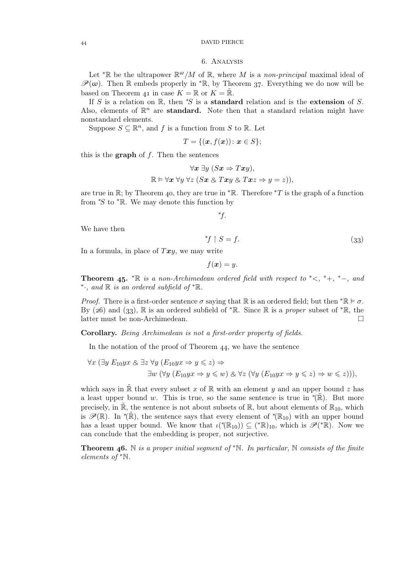### DAVID PIERCE

#### . Analysis

Let <sup>\*</sup>R be the ultrapower  $\mathbb{R}^{\omega}/M$  of R, where M is a *non-principal* maximal ideal of  $\mathscr{P}(\omega)$ . Then R embeds properly in  ${}^*\mathbb{R}$ , by Theorem 37. Everything we do now will be based on Theorem 41 in case  $K = \mathbb{R}$  or  $K = \mathbb{R}$ .

If S is a relation on R, then  $*S$  is a **standard** relation and is the **extension** of S. Also, elements of  $\mathbb{R}^n$  are **standard.** Note then that a standard relation might have nonstandard elements.

Suppose  $S \subseteq \mathbb{R}^n$ , and f is a function from S to R. Let

$$
T = \{(\boldsymbol{x}, f(\boldsymbol{x})) \colon \boldsymbol{x} \in S\};
$$

this is the **graph** of  $f$ . Then the sentences

$$
\forall x \exists y (Sx \Rightarrow Txy),
$$
  

$$
\mathbb{R} \models \forall x \forall y \forall z (Sx \& Txy \& Txz \Rightarrow y = z)),
$$

are true in R; by Theorem 40, they are true in  $*R$ . Therefore  $*T$  is the graph of a function from  $\mathscr{S}$  to  $\mathscr{F}$ . We may denote this function by

∗ f.

We have then

 $*f$  ↑  $S = f.$  (33)

In a formula, in place of  $Txy$ , we may write

$$
f(\boldsymbol{x})=y.
$$

**Theorem 45.**  $* \mathbb{R}$  *is a non-Archimedean ordered field with respect to*  $* <, * +, * -$ *, and* ∗ ·*, and* <sup>R</sup> *is an ordered subfield of* <sup>∗</sup>R*.*

*Proof.* There is a first-order sentence  $\sigma$  saying that R is an ordered field; but then  $^*\mathbb{R} \models \sigma$ . By (26) and (33),  $\mathbb R$  is an ordered subfield of <sup>\*</sup> $\mathbb R$ . Since  $\mathbb R$  is a *proper* subset of <sup>\*</sup> $\mathbb R$ , the latter must be non-Archimedean.  $\Box$ 

Corollary. *Being Archimedean is not a first-order property of fields.*

In the notation of the proof of Theorem  $44$ , we have the sentence

$$
\forall x (\exists y E_{10} y x \& \exists z \forall y (E_{10} y x \Rightarrow y \leq z) \Rightarrow
$$
  

$$
\exists w (\forall y (E_{10} y x \Rightarrow y \leq w) \& \forall z (\forall y (E_{10} y x \Rightarrow y \leq z) \Rightarrow w \leq z))),
$$

which says in R that every subset x of R with an element y and an upper bound z has a least upper bound w. This is true, so the same sentence is true in  $*(\tilde{\mathbb{R}})$ . But more precisely, in  $\mathbb{R}$ , the sentence is not about subsets of  $\mathbb{R}$ , but about elements of  $\mathbb{R}_{10}$ , which is  $\mathscr{P}(\mathbb{R})$ . In  $\check{P}(\mathbb{R})$ , the sentence says that every element of  $\check{P}(\mathbb{R}_{10})$  with an upper bound has a least upper bound. We know that  $\iota({^*}(\mathbb{R}_{10})) \subseteq ({^*}\mathbb{R})_{10}$ , which is  $\mathscr{P}({^*}\mathbb{R})$ . Now we can conclude that the embedding is proper, not surjective.

**Theorem 46.** N is a proper initial segment of  $\mathbb{R}$ . In particular, N consists of the finite *elements of* <sup>∗</sup>N*.*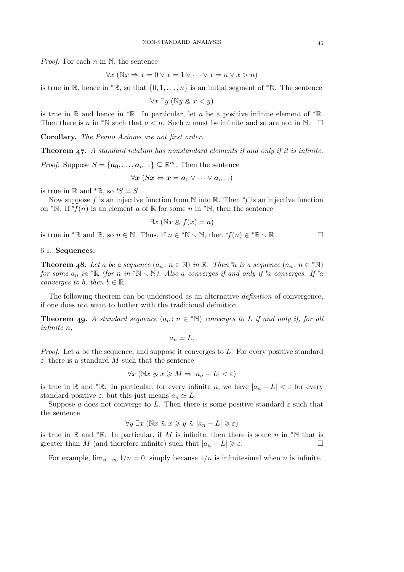*Proof.* For each *n* in N, the sentence

$$
\forall x \ (\mathbb{N}x \Rightarrow x = 0 \lor x = 1 \lor \dots \lor x = n \lor x > n)
$$

is true in R, hence in  $*$ R, so that  $\{0, 1, \ldots, n\}$  is an initial segment of  $*$ N. The sentence

 $\forall x \exists y \ (\mathbb{N}y \& x < y)$ 

is true in R and hence in \*R. In particular, let a be a positive infinite element of \*R. Then there is n in <sup>\*</sup>N such that  $a < n$ . Such n must be infinite and so are not in N.  $\Box$ 

Corollary. *The Peano Axioms are not first order.*

Theorem 47. A standard relation has nonstandard elements if and only if it is infinite.

*Proof.* Suppose  $S = {\mathbf{a}_0, ..., \mathbf{a}_{n-1}} \subseteq \mathbb{R}^m$ . Then the sentence

$$
\forall \boldsymbol{x}\ (S\boldsymbol{x} \Leftrightarrow \boldsymbol{x} = \boldsymbol{a}_0 \vee \dots \vee \boldsymbol{a}_{n-1})
$$

is true in R and  $*$ R, so  $*S = S$ .

Now suppose f is an injective function from N into R. Then  $*f$  is an injective function on <sup>\*</sup>N. If <sup>\*</sup>f(n) is an element a of R for some n in <sup>\*</sup>N, then the sentence

$$
\exists x \ (\mathbb{N}x \& f(x) = a)
$$

is true in \*R and R, so  $n \in \mathbb{N}$ . Thus, if  $n \in \mathbb{N} \setminus \mathbb{N}$ , then  $\mathbb{N}(n) \in \mathbb{N} \setminus \mathbb{R}$ .

# 6.1. Sequences.

**Theorem 48.** Let a be a sequence  $(a_n : n \in \mathbb{N})$  in  $\mathbb{R}$ . Then <sup>\*</sup>a is a sequence  $(a_n : n \in \mathbb{N})$ *for some*  $a_n$  *in*  ${}^* \mathbb{R}$  *(for n in*  ${}^* \mathbb{N} \setminus \mathbb{N}$ ). Also a *converges if and only if*  ${}^* a$  *converges. If*  ${}^* a$ *converges to b, then*  $b \in \mathbb{R}$ *.* 

The following theorem can be understood as an alternative *definition* of convergence, if one does not want to bother with the traditional definition.

**Theorem 49.** A standard sequence  $(a_n : n \in \mathbb{N})$  converges to L if and only if, for all *infinite* n*,*

 $a_n \simeq L$ .

*Proof.* Let a be the sequence, and suppose it converges to L. For every positive standard  $\varepsilon$ , there is a standard M such that the sentence

$$
\forall x \ (\mathbb{N}x \otimes x \geqslant M \Rightarrow |a_n - L| < \varepsilon)
$$

is true in R and \*R. In particular, for every infinite n, we have  $|a_n - L| < \varepsilon$  for every standard positive  $\varepsilon$ ; but this just means  $a_n \simeq L$ .

Suppose a does not converge to L. Then there is some positive standard  $\varepsilon$  such that the sentence

$$
\forall y \; \exists x \; (\mathbb{N}x \; \& \; x \geq y \; \& \; |a_n - L| \geq \varepsilon)
$$

is true in R and  $*$ R. In particular, if M is infinite, then there is some n in  $*$ N that is greater than M (and therefore infinite) such that  $|a_n - L| \geq \varepsilon$ .

For example,  $\lim_{n\to\infty} 1/n = 0$ , simply because  $1/n$  is infinitesimal when n is infinite.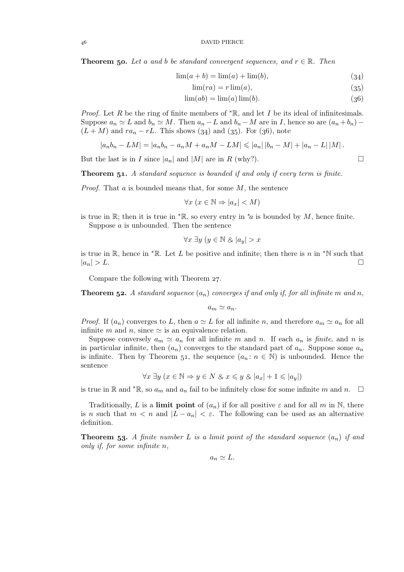**Theorem 50.** Let a and b be standard convergent sequences, and  $r \in \mathbb{R}$ . Then

$$
\lim(a+b) = \lim(a) + \lim(b),\tag{34}
$$

$$
\lim(r a) = r \lim(a),\tag{35}
$$

$$
\lim(ab) = \lim(a)\lim(b). \tag{36}
$$

*Proof.* Let R be the ring of finite members of  $* \mathbb{R}$ , and let I be its ideal of infinitesimals. Suppose  $a_n \simeq L$  and  $b_n \simeq M$ . Then  $a_n - L$  and  $b_n - M$  are in I, hence so are  $(a_n + b_n) (L + M)$  and  $ra_n - rL$ . This shows (34) and (35). For (36), note

$$
|a_n b_n - LM| = |a_n b_n - a_n M + a_n M - LM| \leq |a_n| |b_n - M| + |a_n - L| |M|.
$$

But the last is in I since  $|a_n|$  and  $|M|$  are in R (why?).

**Theorem 51.** A standard sequence is bounded if and only if every term is finite.

*Proof.* That a is bounded means that, for some M, the sentence

$$
\forall x \ (x \in \mathbb{N} \Rightarrow |a_x| < M)
$$

is true in R; then it is true in  $*R$ , so every entry in  $*a$  is bounded by M, hence finite. Suppose a is unbounded. Then the sentence

$$
\forall x\; \exists y\; (y\in \mathbb{N}\; \& \; |a_y|>x
$$

is true in R, hence in  $*R$ . Let L be positive and infinite; then there is n in  $*N$  such that  $|a_n| > L.$ 

Compare the following with Theorem 27.

**Theorem 52.** A standard sequence  $(a_n)$  converges if and only if, for all infinite m and n,

 $a_m \simeq a_n$ .

*Proof.* If  $(a_n)$  converges to L, then  $a \simeq L$  for all infinite n, and therefore  $a_m \simeq a_n$  for all infinite m and n, since  $\simeq$  is an equivalence relation.

Suppose conversely  $a_m \simeq a_n$  for all infinite m and n. If each  $a_n$  is *finite*, and n is in particular infinite, then  $(a_n)$  converges to the standard part of  $a_n$ . Suppose some  $a_n$ is infinite. Then by Theorem 51, the sequence  $(a_n : n \in \mathbb{N})$  is unbounded. Hence the sentence

$$
\forall x \; \exists y \; (x \in \mathbb{N} \Rightarrow y \in N \; \& \; x \leq y \; \& \; |a_x| + 1 \leq |a_y|)
$$

is true in R and  $^*$ R, so  $a_m$  and  $a_n$  fail to be infinitely close for some infinite m and n.  $\Box$ 

Traditionally, L is a limit point of  $(a_n)$  if for all positive  $\varepsilon$  and for all m in N, there is n such that  $m < n$  and  $|L - a_n| < \varepsilon$ . The following can be used as an alternative definition.

**Theorem 53.** A finite number L is a limit point of the standard sequence  $(a_n)$  if and *only if, for some infinite* n*,*

$$
a_n \simeq L.
$$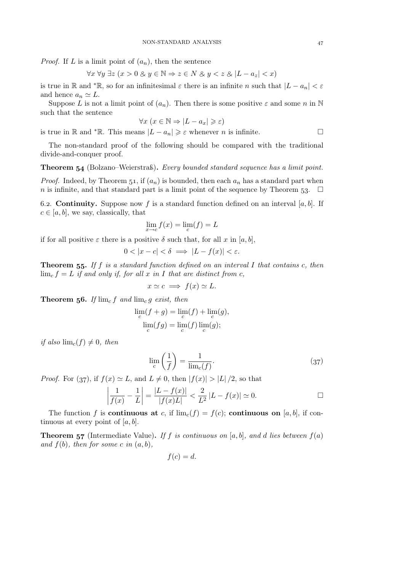*Proof.* If L is a limit point of  $(a_n)$ , then the sentence

$$
\forall x \,\forall y \,\exists z \,(x > 0 \,\& y \in \mathbb{N} \Rightarrow z \in N \,\& y < z \,\& |L - a_z| < x)
$$

is true in R and \*R, so for an infinitesimal  $\varepsilon$  there is an infinite n such that  $|L - a_n| < \varepsilon$ and hence  $a_n \simeq L$ .

Suppose L is not a limit point of  $(a_n)$ . Then there is some positive  $\varepsilon$  and some n in N such that the sentence

$$
\forall x \ (x \in \mathbb{N} \Rightarrow |L - a_x| \geqslant \varepsilon)
$$

is true in R and \*R. This means  $|L - a_n| \geq \varepsilon$  whenever *n* is infinite.

The non-standard proof of the following should be compared with the traditional divide-and-conquer proof.

Theorem 54 (Bolzano–Weierstraß). *Every bounded standard sequence has a limit point.* 

*Proof.* Indeed, by Theorem 51, if  $(a_n)$  is bounded, then each  $a_n$  has a standard part when n is infinite, and that standard part is a limit point of the sequence by Theorem 53.  $\Box$ 

6.2. **Continuity.** Suppose now f is a standard function defined on an interval [a, b]. If  $c \in [a, b]$ , we say, classically, that

$$
\lim_{x \to c} f(x) = \lim_{c} (f) = L
$$

if for all positive  $\varepsilon$  there is a positive  $\delta$  such that, for all x in [a, b],

$$
0 < |x - c| < \delta \implies |L - f(x)| < \varepsilon.
$$

Theorem 55. If f is a standard function defined on an interval I that contains c, then  $\lim_{c} f = L$  *if and only if, for all* x *in* I *that are distinct from c*,

$$
x \simeq c \implies f(x) \simeq L.
$$

**Theorem 56.** If  $\lim_{c} f$  and  $\lim_{c} g$  exist, then

$$
\lim_{c} (f+g) = \lim_{c} (f) + \lim_{c} (g),
$$

$$
\lim_{c} (fg) = \lim_{c} (f) \lim_{c} (g);
$$

*if also*  $\lim_{c} (f) \neq 0$ *, then* 

$$
\lim_{c} \left(\frac{1}{f}\right) = \frac{1}{\lim_{c}(f)}.\tag{37}
$$

*Proof.* For (37), if  $f(x) \simeq L$ , and  $L \neq 0$ , then  $|f(x)| > |L|/2$ , so that

$$
\left|\frac{1}{f(x)} - \frac{1}{L}\right| = \frac{|L - f(x)|}{|f(x)L|} < \frac{2}{L^2} |L - f(x)| \simeq 0. \qquad \Box
$$

The function f is **continuous at** c, if  $\lim_{c} (f) = f(c)$ ; **continuous on** [a, b], if continuous at every point of  $[a, b]$ .

**Theorem 57** (Intermediate Value). If f is continuous on [a, b], and d lies between  $f(a)$ and  $f(b)$ *, then for some* c in  $(a, b)$ *,* 

$$
f(c)=d.
$$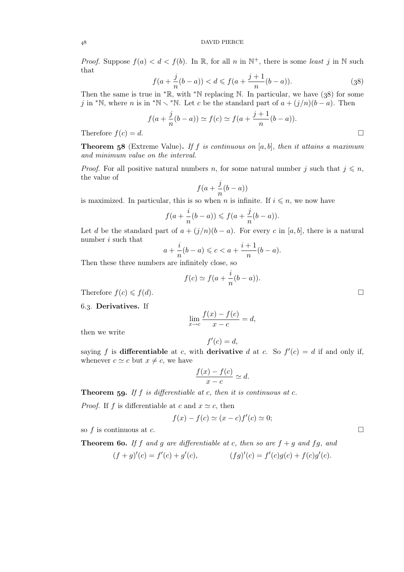DAVID PIERCE

*Proof.* Suppose  $f(a) < d < f(b)$ . In R, for all n in  $\mathbb{N}^+$ , there is some *least* j in N such that

$$
f(a + \frac{j}{n}(b - a)) < d \leq f(a + \frac{j+1}{n}(b - a)).\tag{38}
$$

Then the same is true in  $* \mathbb{R}$ , with  $* \mathbb{N}$  replacing N. In particular, we have (38) for some j in \*N, where n is in \*N  $\lt$  \*N. Let c be the standard part of  $a + (j/n)(b - a)$ . Then

$$
f(a + \frac{j}{n}(b - a)) \simeq f(c) \simeq f(a + \frac{j+1}{n}(b - a)).
$$
  
Therefore  $f(c) = d$ .

Theorem (Extreme Value). *If* f *is continuous on* [a, b]*, then it attains a maximum and minimum value on the interval.*

*Proof.* For all positive natural numbers n, for some natural number j such that  $j \leq n$ , the value of

$$
f(a+\frac{j}{n}(b-a))
$$

is maximized. In particular, this is so when n is infinite. If  $i \leq n$ , we now have

$$
f(a+\frac{i}{n}(b-a)) \leqslant f(a+\frac{j}{n}(b-a)).
$$

Let d be the standard part of  $a + (j/n)(b - a)$ . For every c in [a, b], there is a natural number i such that

$$
a + \frac{i}{n}(b - a) \leq c < a + \frac{i + 1}{n}(b - a).
$$

Then these three numbers are infinitely close, so

$$
f(c) \simeq f(a + \frac{i}{n}(b - a)).
$$

Therefore  $f(c) \leq f(d)$ .

6.3. Derivatives. If

$$
\lim_{x \to c} \frac{f(x) - f(c)}{x - c} = d,
$$

then we write

$$
f'(c) = d,
$$

saying f is differentiable at c, with derivative d at c. So  $f'(c) = d$  if and only if, whenever  $c \simeq c$  but  $x \neq c$ , we have

$$
\frac{f(x) - f(c)}{x - c} \simeq d.
$$

Theorem 59. If f *is differentiable at c, then it is continuous at c.* 

*Proof.* If f is differentiable at c and  $x \simeq c$ , then

$$
f(x) - f(c) \simeq (x - c)f'(c) \simeq 0;
$$

so f is continuous at c.  $\Box$ 

**Theorem 60.** If f and g are differentiable at c, then so are  $f + g$  and fg, and  $(f+g)'(c) = f'(c) + g'(c),$   $(fg)'(c) = f'(c)g(c) + f(c)g'(c).$ 

$$
f_{\rm{max}}
$$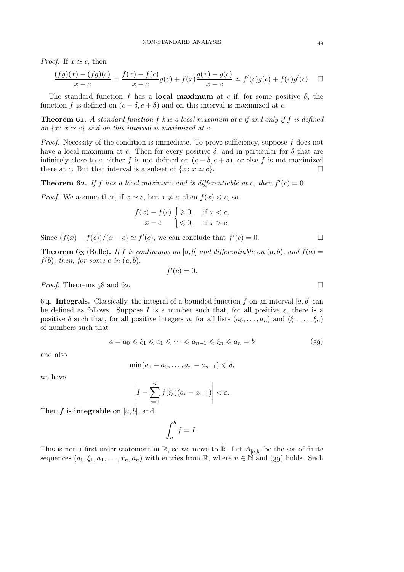*Proof.* If  $x \simeq c$ , then

$$
\frac{(fg)(x) - (fg)(c)}{x - c} = \frac{f(x) - f(c)}{x - c}g(c) + f(x)\frac{g(x) - g(c)}{x - c} \simeq f'(c)g(c) + f(c)g'(c). \quad \Box
$$

The standard function f has a **local maximum** at c if, for some positive  $\delta$ , the function f is defined on  $(c - \delta, c + \delta)$  and on this interval is maximized at c.

Theorem . *A standard function* f *has a local maximum at* c *if and only if* f *is defined on*  $\{x : x \simeq c\}$  *and on this interval is maximized at c.* 

*Proof.* Necessity of the condition is immediate. To prove sufficiency, suppose f does not have a local maximum at c. Then for every positive  $\delta$ , and in particular for  $\delta$  that are infinitely close to c, either f is not defined on  $(c - \delta, c + \delta)$ , or else f is not maximized<br>there at c. But that interval is a subset of  $\{x : x \sim c\}$ there at c. But that interval is a subset of  $\{x: x \simeq c\}$ .

**Theorem 62.** If f has a local maximum and is differentiable at c, then  $f'(c) = 0$ .

*Proof.* We assume that, if  $x \simeq c$ , but  $x \neq c$ , then  $f(x) \leq c$ , so

$$
\frac{f(x) - f(c)}{x - c} \begin{cases} \geqslant 0, & \text{if } x < c, \\ \leqslant 0, & \text{if } x > c. \end{cases}
$$

Since  $(f(x) - f(c))/(x - c) \simeq f'(c)$ , we can conclude that  $f'(c) = 0$ .

**Theorem 63** (Rolle). If f is continuous on [a, b] and differentiable on  $(a, b)$ , and  $f(a) =$  $f(b)$ *, then, for some c in*  $(a, b)$ *,* 

$$
f'(c)=0.
$$

*Proof.* Theorems  $58$  and  $62$ .

6.4. Integrals. Classically, the integral of a bounded function f on an interval [a, b] can be defined as follows. Suppose I is a number such that, for all positive  $\varepsilon$ , there is a positive  $\delta$  such that, for all positive integers n, for all lists  $(a_0, \ldots, a_n)$  and  $(\xi_1, \ldots, \xi_n)$ of numbers such that

$$
a = a_0 \le \xi_1 \le a_1 \le \dots \le a_{n-1} \le \xi_n \le a_n = b \tag{39}
$$

and also

$$
\min(a_1 - a_0, \dots, a_n - a_{n-1}) \leq \delta,
$$

we have

$$
\left| I - \sum_{i=1}^{n} f(\xi_i)(a_i - a_{i-1}) \right| < \varepsilon.
$$

Then f is **integrable** on [a, b], and

$$
\int_{a}^{b} f = I.
$$

This is not a first-order statement in R, so we move to R. Let  $A_{[a,b]}$  be the set of finite sequences  $(a_0, \xi_1, a_1, \ldots, a_n, a_n)$  with entries from R, where  $n \in \mathbb{N}$  and (39) holds. Such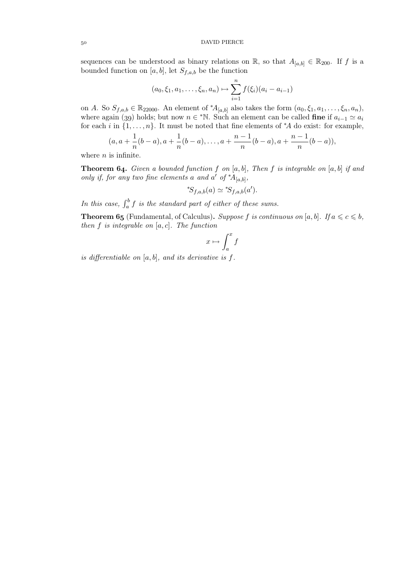sequences can be understood as binary relations on R, so that  $A_{[a,b]} \in \mathbb{R}_{200}$ . If f is a bounded function on [a, b], let  $S_{f,a,b}$  be the function

$$
(a_0, \xi_1, a_1, \dots, \xi_n, a_n) \mapsto \sum_{i=1}^n f(\xi_i)(a_i - a_{i-1})
$$

on A. So  $S_{f,a,b} \in \mathbb{R}_{22000}$ . An element of  $^*A_{[a,b]}$  also takes the form  $(a_0, \xi_1, a_1, \ldots, \xi_n, a_n)$ , where again (39) holds; but now  $n \in \mathbb{N}$ . Such an element can be called **fine** if  $a_{i-1} \simeq a_i$ for each i in  $\{1, \ldots, n\}$ . It must be noted that fine elements of  $*A$  do exist: for example,

$$
(a, a + \frac{1}{n}(b - a), a + \frac{1}{n}(b - a), \ldots, a + \frac{n-1}{n}(b - a), a + \frac{n-1}{n}(b - a)),
$$

where  $n$  is infinite.

**Theorem 64.** Given a bounded function f on  $[a, b]$ , Then f is integrable on  $[a, b]$  if and *only if, for any two fine elements* a and a' of  $^*A_{[a,b]}$ ,

$$
^*S_{f,a,b}(a) \simeq {^*S_{f,a,b}(a')}.
$$

In this case,  $\int_a^b f$  is the standard part of either of these sums.

**Theorem 65** (Fundamental, of Calculus). *Suppose* f is continuous on [a, b]. If  $a \leq c \leq b$ , *then* f *is integrable on* [a, c]*. The function*

$$
x \mapsto \int_a^x f
$$

*is differentiable on* [a, b]*, and its derivative is* f*.*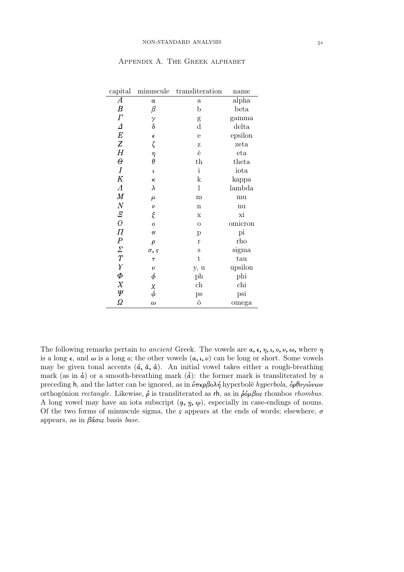| capital               | minuscule                                      | transliteration | name    |  |  |  |
|-----------------------|------------------------------------------------|-----------------|---------|--|--|--|
| А                     | $\alpha$                                       | $\mathbf{a}$    | alpha   |  |  |  |
| $\boldsymbol{B}$      | $_{\beta}$                                     | b               | beta    |  |  |  |
| $\varGamma$           |                                                | g               | gamma   |  |  |  |
| $\varDelta$           | $\begin{matrix} \gamma \\ \delta \end{matrix}$ | $\mathbf d$     | delta   |  |  |  |
| $\cal E$              | $\epsilon$                                     | e               | epsilon |  |  |  |
| Z                     | ζ                                              | Ζ               | zeta    |  |  |  |
| $H_{\rm}$             | $\eta$                                         | ê               | eta     |  |  |  |
| $\Theta$              | $\theta$                                       | $_{\rm th}$     | theta   |  |  |  |
| $\boldsymbol{I}$      | $\iota$                                        | $\mathbf{i}$    | iota    |  |  |  |
| $K \$                 | к                                              | $\mathbf k$     | kappa   |  |  |  |
| $\varLambda$          | λ                                              | $\mathbf{l}$    | lambda  |  |  |  |
| $\bm{M}$              | $\mu$                                          | m               | mu      |  |  |  |
| $\cal N$              | $\boldsymbol{\nu}$                             | $\mathbf n$     | nu      |  |  |  |
| $\varXi$              | ξ                                              | $\mathbf x$     | хi      |  |  |  |
| $\overline{O}$        | $\mathbf{o}$                                   | $\overline{O}$  | omicron |  |  |  |
| $\boldsymbol{\varPi}$ | $\pi$                                          | p               | pi      |  |  |  |
| $\overline{P}$        | $\rho$                                         | $\mathbf{r}$    | rho     |  |  |  |
| $\varSigma$           | $\sigma$ , s                                   | S               | sigma   |  |  |  |
| $\cal T$              | $\tau$                                         | $\mathbf t$     | tau     |  |  |  |
| $\boldsymbol{\gamma}$ | $\upsilon$                                     | y, u            | upsilon |  |  |  |
| $\varPhi$             | $\phi$                                         | ph              | phi     |  |  |  |
| X                     |                                                | ch              | chi     |  |  |  |
| Ψ                     | $\chi \over \psi$                              | ps              | psi     |  |  |  |
| Ω                     | $\omega$                                       | ô               | omega   |  |  |  |

# Appendix A. The Greek alphabet

The following remarks pertain to *ancient* Greek. The vowels are  $\alpha$ ,  $\epsilon$ ,  $\eta$ ,  $\iota$ ,  $\alpha$ ,  $\nu$ ,  $\omega$ , where  $\eta$ is a long  $\epsilon$ , and  $\omega$  is a long  $\epsilon$ ; the other vowels  $(a, \iota, \nu)$  can be long or short. Some vowels may be given tonal accents  $(\phi, \hat{a}, \hat{a})$ . An initial vowel takes either a rough-breathing mark (as in  $\dot{a}$ ) or a smooth-breathing mark ( $\dot{a}$ ): the former mark is transliterated by a preceding h, and the latter can be ignored, as in  $\hat{\nu}\pi\epsilon\rho\beta$ ολή hyperbolê *hyperbola*,  $\hat{\rho}\rho\theta\gamma\omega\gamma\omega\nu$ orthogônion *rectangle*. Likewise, *ρ* is transliterated as rh, as in *ρόμβος* rhombos *rhombus*. A long vowel may have an iota subscript  $(\alpha, \eta, \omega)$ , especially in case-endings of nouns. Of the two forms of minuscule sigma, the  $s$  appears at the ends of words; elsewhere,  $\sigma$ appears, as in βάσις basis *base.*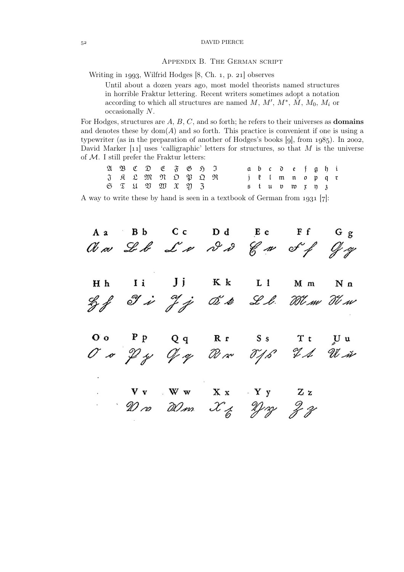DAVID PIERCE

### Appendix B. The German script

Writing in 1993, Wilfrid Hodges  $[8, Ch. 1, p. 21]$  observes

Until about a dozen years ago, most model theorists named structures in horrible Fraktur lettering. Recent writers sometimes adopt a notation according to which all structures are named  $M, M', M^*, \overline{M}, M_0, M_i$  or occasionally N.

For Hodges, structures are  $A, B, C$ , and so forth; he refers to their universes as **domains** and denotes these by  $dom(A)$  and so forth. This practice is convenient if one is using a typewriter (as in the preparation of another of Hodges's books  $[g]$ , from  $1985$ ). In 2002, David Marker  $[11]$  uses 'calligraphic' letters for structures, so that M is the universe of  $M$ . I still prefer the Fraktur letters:

|  |  | $\mathfrak{A} \mathfrak{B} \mathfrak{C} \mathfrak{D} \mathfrak{E} \mathfrak{F} \mathfrak{B} \mathfrak{H} \mathfrak{I}$ |  |  |  |  | abc defghi                     |  |  |  |
|--|--|------------------------------------------------------------------------------------------------------------------------|--|--|--|--|--------------------------------|--|--|--|
|  |  | J R L M N D P Q R                                                                                                      |  |  |  |  | j l Imnopqu                    |  |  |  |
|  |  | $6 \mathfrak{T}$ $1 \mathfrak{V}$ $2 \mathfrak{V}$ $3 \mathfrak{V}$ $3$                                                |  |  |  |  | $5$ tup to $\mathfrak x$ n $3$ |  |  |  |

A way to write these by hand is seen in a textbook of German from  $1931$  [7]:

A a Bb Cc Dd Ee Ff Gg<br> $M \approx \mathcal{L} \approx \mathcal{L} \approx \mathcal{L} \approx \mathcal{L} \approx \mathcal{L} \approx \mathcal{L} \approx \mathcal{L} \approx \mathcal{L} \approx \mathcal{L} \approx \mathcal{L} \approx \mathcal{L} \approx \mathcal{L} \approx \mathcal{L} \approx \mathcal{L} \approx \mathcal{L} \approx \mathcal{L} \approx \mathcal{L} \approx \mathcal{L} \approx \mathcal{L} \approx \mathcal{L} \approx \mathcal{L} \approx \mathcal{L} \approx \mathcal{L} \approx \mathcal{L} \approx \mathcal$  $Jj$  Kk  $\mathbf{I}$  i  $L_1$ H h M m N n Lyf I is If j O's & L.l. When The  $\mathbf{P} \quad \mathbf{P} \quad \mathbf{Q} \quad \mathbf{q} \quad \mathbf{R} \quad \mathbf{r} \quad \mathbf{S} \quad \mathbf{s}$ OO PP Qq Rr SS Tt UU<br>OO PJ Gy Rom TJS IA Win  $O$  o  $V_V$   $W_W$   $X_X$   $Y_Y$   $Z_Z$ <br> $W \alpha$   $W \alpha$   $X_Z$   $Y \beta$